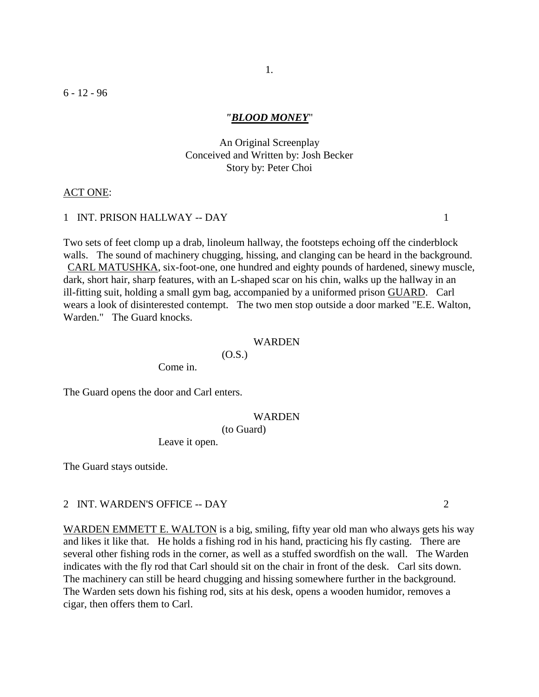# *"BLOOD MONEY*"

# An Original Screenplay Conceived and Written by: Josh Becker Story by: Peter Choi

#### ACT ONE:

# 1 INT. PRISON HALLWAY -- DAY 1

Two sets of feet clomp up a drab, linoleum hallway, the footsteps echoing off the cinderblock walls. The sound of machinery chugging, hissing, and clanging can be heard in the background. CARL MATUSHKA, six-foot-one, one hundred and eighty pounds of hardened, sinewy muscle, dark, short hair, sharp features, with an L-shaped scar on his chin, walks up the hallway in an ill-fitting suit, holding a small gym bag, accompanied by a uniformed prison GUARD. Carl wears a look of disinterested contempt. The two men stop outside a door marked "E.E. Walton, Warden." The Guard knocks.

#### WARDEN

 $(O.S.)$ 

Come in.

The Guard opens the door and Carl enters.

#### WARDEN

(to Guard)

Leave it open.

The Guard stays outside.

#### 2 INT. WARDEN'S OFFICE -- DAY 2

WARDEN EMMETT E. WALTON is a big, smiling, fifty year old man who always gets his way and likes it like that. He holds a fishing rod in his hand, practicing his fly casting. There are several other fishing rods in the corner, as well as a stuffed swordfish on the wall. The Warden indicates with the fly rod that Carl should sit on the chair in front of the desk. Carl sits down. The machinery can still be heard chugging and hissing somewhere further in the background. The Warden sets down his fishing rod, sits at his desk, opens a wooden humidor, removes a cigar, then offers them to Carl.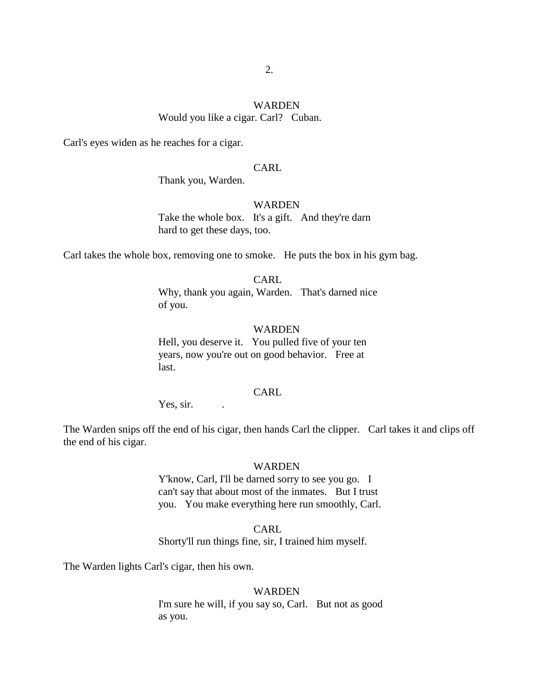# WARDEN Would you like a cigar. Carl? Cuban.

Carl's eyes widen as he reaches for a cigar.

# CARL

Thank you, Warden.

#### WARDEN

Take the whole box. It's a gift. And they're darn hard to get these days, too.

Carl takes the whole box, removing one to smoke. He puts the box in his gym bag.

CARL Why, thank you again, Warden. That's darned nice of you.

#### WARDEN

Hell, you deserve it. You pulled five of your ten years, now you're out on good behavior. Free at last.

# CARL

Yes, sir.

The Warden snips off the end of his cigar, then hands Carl the clipper. Carl takes it and clips off the end of his cigar.

#### WARDEN

Y'know, Carl, I'll be darned sorry to see you go. I can't say that about most of the inmates. But I trust you. You make everything here run smoothly, Carl.

CARL Shorty'll run things fine, sir, I trained him myself.

The Warden lights Carl's cigar, then his own.

#### WARDEN

I'm sure he will, if you say so, Carl. But not as good as you.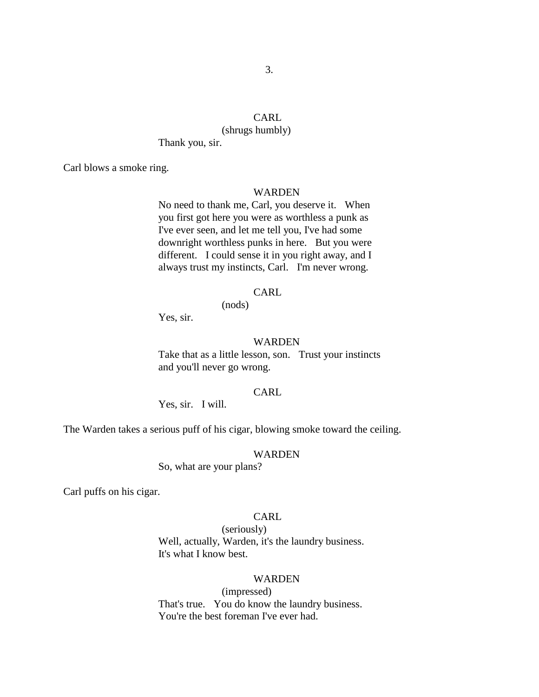# CARL

# (shrugs humbly)

Thank you, sir.

Carl blows a smoke ring.

# WARDEN

No need to thank me, Carl, you deserve it. When you first got here you were as worthless a punk as I've ever seen, and let me tell you, I've had some downright worthless punks in here. But you were different. I could sense it in you right away, and I always trust my instincts, Carl. I'm never wrong.

# CARL

Yes, sir.

#### WARDEN

Take that as a little lesson, son. Trust your instincts and you'll never go wrong.

# CARL

Yes, sir. I will.

The Warden takes a serious puff of his cigar, blowing smoke toward the ceiling.

(nods)

#### WARDEN

So, what are your plans?

Carl puffs on his cigar.

#### CARL

(seriously) Well, actually, Warden, it's the laundry business. It's what I know best.

#### WARDEN

(impressed) That's true. You do know the laundry business. You're the best foreman I've ever had.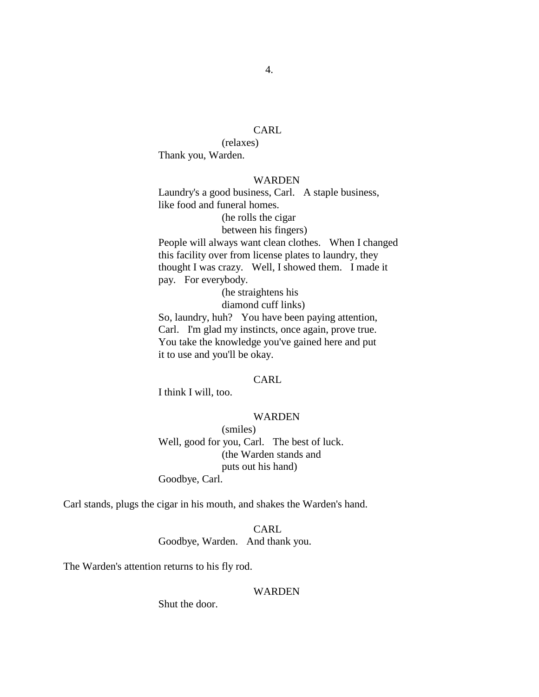# CARL

(relaxes) Thank you, Warden.

# WARDEN

Laundry's a good business, Carl. A staple business, like food and funeral homes.

> (he rolls the cigar between his fingers)

People will always want clean clothes. When I changed this facility over from license plates to laundry, they thought I was crazy. Well, I showed them. I made it pay. For everybody.

(he straightens his

diamond cuff links)

So, laundry, huh? You have been paying attention, Carl. I'm glad my instincts, once again, prove true. You take the knowledge you've gained here and put it to use and you'll be okay.

#### CARL.

I think I will, too.

# WARDEN

(smiles) Well, good for you, Carl. The best of luck. (the Warden stands and puts out his hand) Goodbye, Carl.

Carl stands, plugs the cigar in his mouth, and shakes the Warden's hand.

CARL Goodbye, Warden. And thank you.

The Warden's attention returns to his fly rod.

#### WARDEN

Shut the door.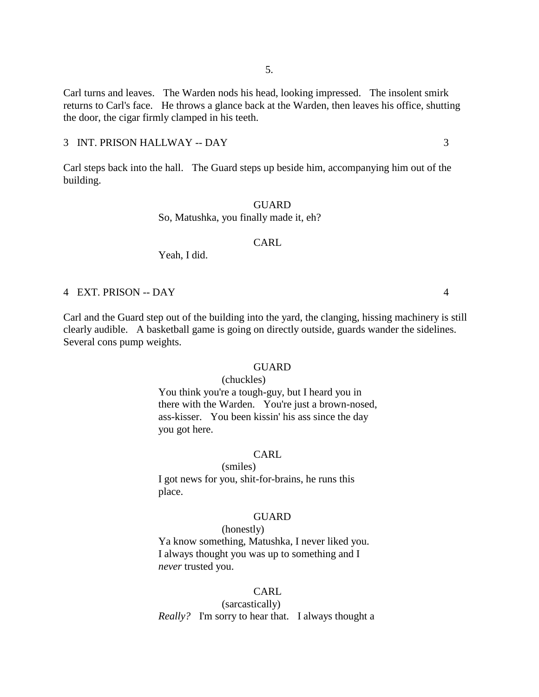Carl turns and leaves. The Warden nods his head, looking impressed. The insolent smirk returns to Carl's face. He throws a glance back at the Warden, then leaves his office, shutting the door, the cigar firmly clamped in his teeth.

#### 3 INT. PRISON HALLWAY -- DAY 3

Carl steps back into the hall. The Guard steps up beside him, accompanying him out of the building.

#### **GUARD**

So, Matushka, you finally made it, eh?

# CARL

Yeah, I did.

#### 4 EXT. PRISON -- DAY 4

Carl and the Guard step out of the building into the yard, the clanging, hissing machinery is still clearly audible. A basketball game is going on directly outside, guards wander the sidelines. Several cons pump weights.

#### GUARD

#### (chuckles)

You think you're a tough-guy, but I heard you in there with the Warden. You're just a brown-nosed, ass-kisser. You been kissin' his ass since the day you got here.

#### CARL

(smiles) I got news for you, shit-for-brains, he runs this place.

#### GUARD

# (honestly)

Ya know something, Matushka, I never liked you. I always thought you was up to something and I *never* trusted you.

# CARL

(sarcastically) *Really?* I'm sorry to hear that. I always thought a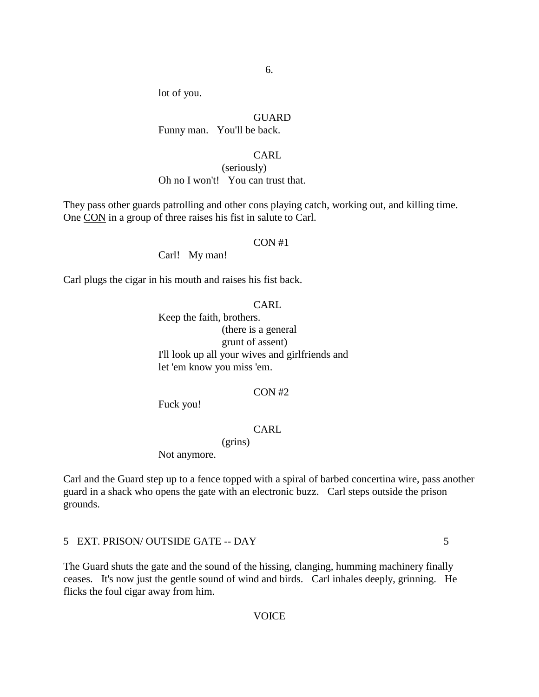lot of you.

#### GUARD

Funny man. You'll be back.

# CARL

(seriously) Oh no I won't! You can trust that.

They pass other guards patrolling and other cons playing catch, working out, and killing time. One CON in a group of three raises his fist in salute to Carl.

#### CON #1

Carl! My man!

Carl plugs the cigar in his mouth and raises his fist back.

# CARL

Keep the faith, brothers. (there is a general grunt of assent) I'll look up all your wives and girlfriends and let 'em know you miss 'em.

# CON #2

Fuck you!

# CARL

(grins)

Not anymore.

Carl and the Guard step up to a fence topped with a spiral of barbed concertina wire, pass another guard in a shack who opens the gate with an electronic buzz. Carl steps outside the prison grounds.

5 EXT. PRISON/ OUTSIDE GATE -- DAY 5

The Guard shuts the gate and the sound of the hissing, clanging, humming machinery finally ceases. It's now just the gentle sound of wind and birds. Carl inhales deeply, grinning. He flicks the foul cigar away from him.

# **VOICE**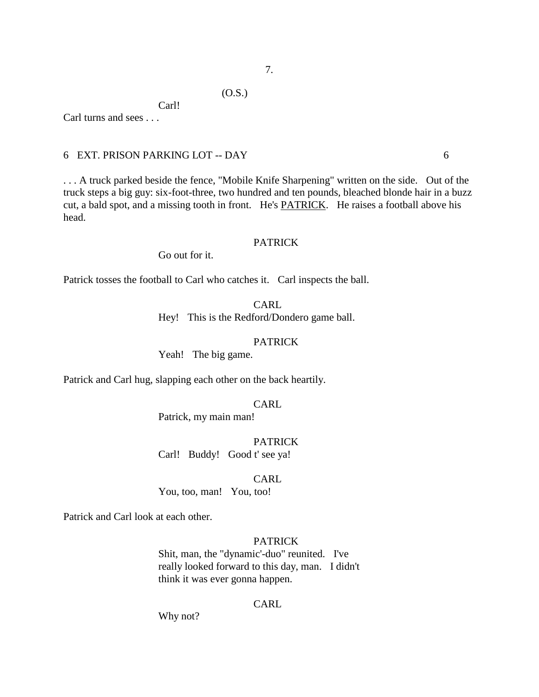# (O.S.)

Carl! Carl turns and sees . . .

# 6 EXT. PRISON PARKING LOT -- DAY 6

. . . A truck parked beside the fence, "Mobile Knife Sharpening" written on the side. Out of the truck steps a big guy: six-foot-three, two hundred and ten pounds, bleached blonde hair in a buzz cut, a bald spot, and a missing tooth in front. He's PATRICK. He raises a football above his head.

# PATRICK

Go out for it.

Patrick tosses the football to Carl who catches it. Carl inspects the ball.

CARL Hey! This is the Redford/Dondero game ball.

#### PATRICK

Yeah! The big game.

Patrick and Carl hug, slapping each other on the back heartily.

CARL

Patrick, my main man!

PATRICK

Carl! Buddy! Good t' see ya!

CARL

You, too, man! You, too!

Patrick and Carl look at each other.

# PATRICK

Shit, man, the "dynamic'-duo" reunited. I've really looked forward to this day, man. I didn't think it was ever gonna happen.

#### CARL

Why not?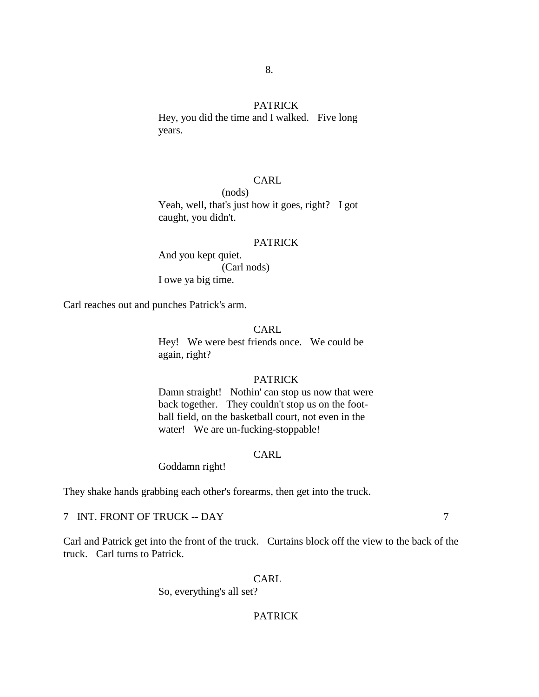#### PATRICK

8.

Hey, you did the time and I walked. Five long years.

# CARL

(nods) Yeah, well, that's just how it goes, right? I got caught, you didn't.

#### PATRICK

And you kept quiet. (Carl nods) I owe ya big time.

Carl reaches out and punches Patrick's arm.

# CARL

Hey! We were best friends once. We could be again, right?

# PATRICK

Damn straight! Nothin' can stop us now that were back together. They couldn't stop us on the football field, on the basketball court, not even in the water! We are un-fucking-stoppable!

# CARL

Goddamn right!

They shake hands grabbing each other's forearms, then get into the truck.

# 7 INT. FRONT OF TRUCK -- DAY 7

Carl and Patrick get into the front of the truck. Curtains block off the view to the back of the truck. Carl turns to Patrick.

## CARL

So, everything's all set?

# PATRICK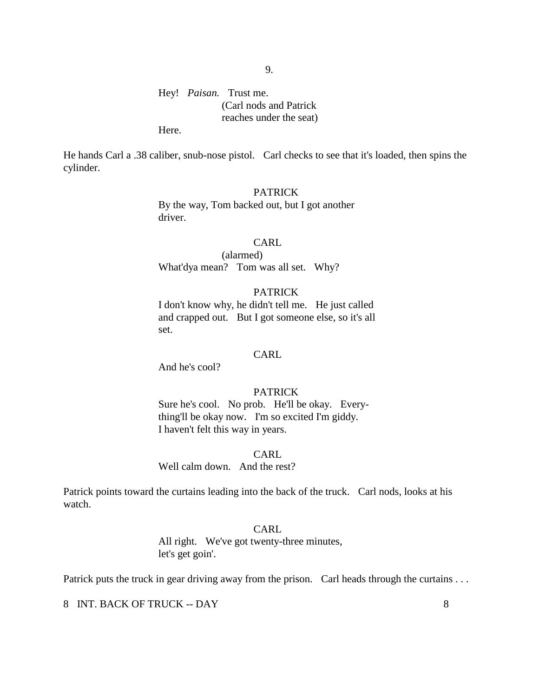Hey! *Paisan.* Trust me. (Carl nods and Patrick reaches under the seat)

Here.

He hands Carl a .38 caliber, snub-nose pistol. Carl checks to see that it's loaded, then spins the cylinder.

# PATRICK

By the way, Tom backed out, but I got another driver.

# CARL

(alarmed) What'dya mean? Tom was all set. Why?

# PATRICK

I don't know why, he didn't tell me. He just called and crapped out. But I got someone else, so it's all set.

# **CARL**

And he's cool?

# PATRICK

Sure he's cool. No prob. He'll be okay. Everything'll be okay now. I'm so excited I'm giddy. I haven't felt this way in years.

CARL

Well calm down. And the rest?

Patrick points toward the curtains leading into the back of the truck. Carl nods, looks at his watch.

#### CARL

All right. We've got twenty-three minutes, let's get goin'.

Patrick puts the truck in gear driving away from the prison. Carl heads through the curtains ...

8 INT. BACK OF TRUCK -- DAY 8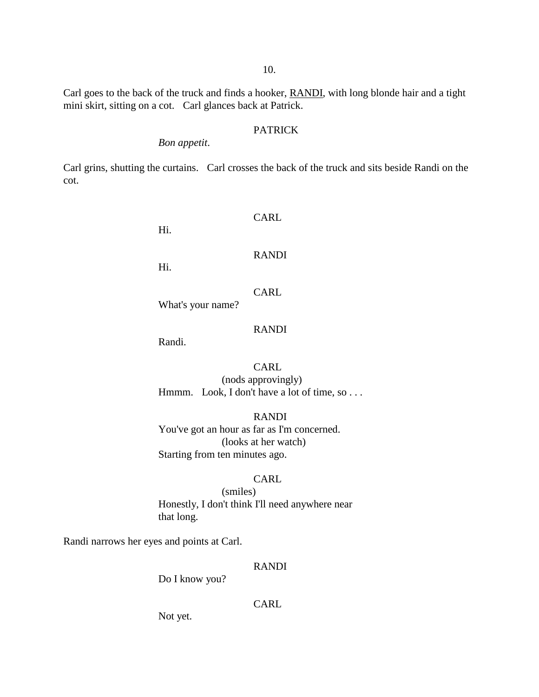Carl goes to the back of the truck and finds a hooker, RANDI, with long blonde hair and a tight mini skirt, sitting on a cot. Carl glances back at Patrick.

# PATRICK

# *Bon appetit*.

Carl grins, shutting the curtains. Carl crosses the back of the truck and sits beside Randi on the cot.

Hi.

CARL

#### RANDI

Hi.

# CARL

What's your name?

# RANDI

Randi.

# CARL (nods approvingly) Hmmm. Look, I don't have a lot of time, so . . .

RANDI You've got an hour as far as I'm concerned. (looks at her watch) Starting from ten minutes ago.

# CARL

(smiles) Honestly, I don't think I'll need anywhere near that long.

Randi narrows her eyes and points at Carl.

# RANDI

Do I know you?

#### CARL

Not yet.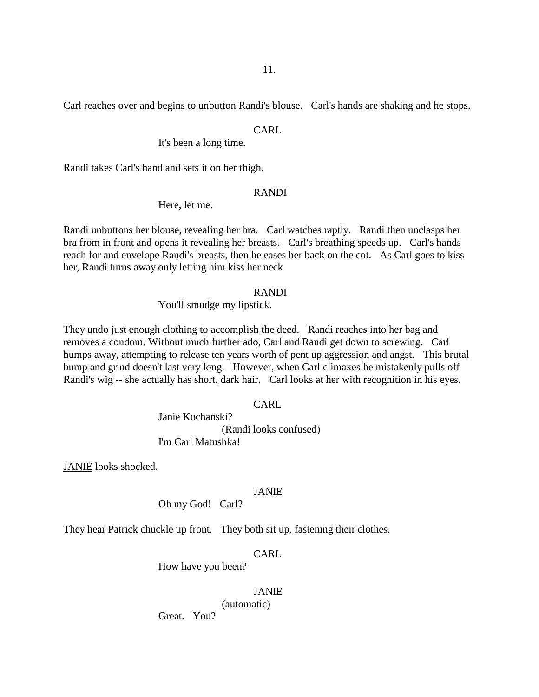Carl reaches over and begins to unbutton Randi's blouse. Carl's hands are shaking and he stops.

#### CARL

It's been a long time.

Randi takes Carl's hand and sets it on her thigh.

#### RANDI

Here, let me.

Randi unbuttons her blouse, revealing her bra. Carl watches raptly. Randi then unclasps her bra from in front and opens it revealing her breasts. Carl's breathing speeds up. Carl's hands reach for and envelope Randi's breasts, then he eases her back on the cot. As Carl goes to kiss her, Randi turns away only letting him kiss her neck.

# RANDI

You'll smudge my lipstick.

They undo just enough clothing to accomplish the deed. Randi reaches into her bag and removes a condom. Without much further ado, Carl and Randi get down to screwing. Carl humps away, attempting to release ten years worth of pent up aggression and angst. This brutal bump and grind doesn't last very long. However, when Carl climaxes he mistakenly pulls off Randi's wig -- she actually has short, dark hair. Carl looks at her with recognition in his eyes.

# CARL

Janie Kochanski? (Randi looks confused) I'm Carl Matushka!

JANIE looks shocked.

# JANIE

Oh my God! Carl?

They hear Patrick chuckle up front. They both sit up, fastening their clothes.

# CARL

How have you been?

# JANIE

(automatic)

Great. You?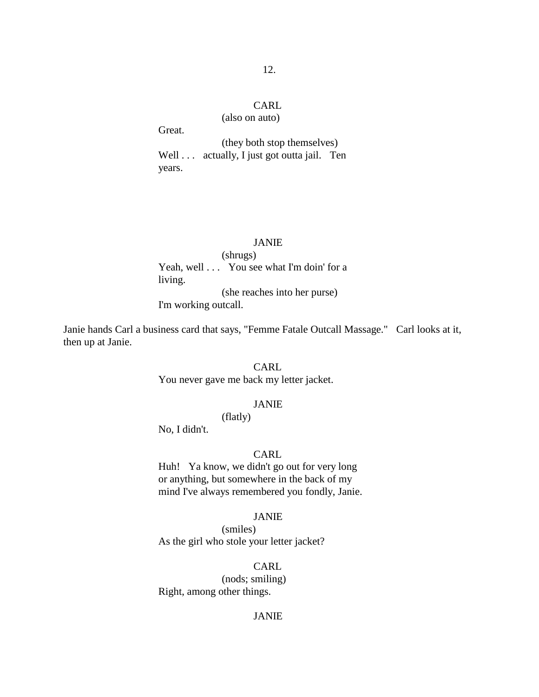# CARL

(also on auto)

Great. (they both stop themselves) Well . . . actually, I just got outta jail. Ten years.

#### JANIE

(shrugs) Yeah, well . . . You see what I'm doin' for a living. (she reaches into her purse) I'm working outcall.

Janie hands Carl a business card that says, "Femme Fatale Outcall Massage." Carl looks at it, then up at Janie.

# CARL

You never gave me back my letter jacket.

#### JANIE

(flatly)

No, I didn't.

# CARL

Huh! Ya know, we didn't go out for very long or anything, but somewhere in the back of my mind I've always remembered you fondly, Janie.

#### JANIE

(smiles) As the girl who stole your letter jacket?

# CARL

(nods; smiling) Right, among other things.

# JANIE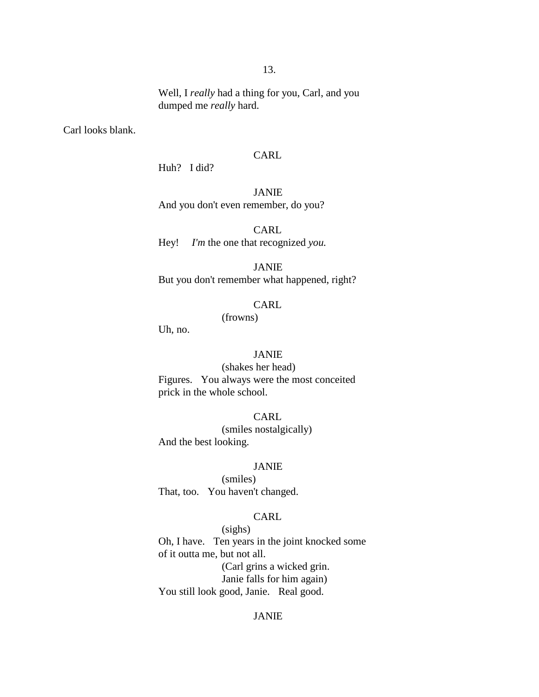Well, I *really* had a thing for you, Carl, and you dumped me *really* hard.

Carl looks blank.

# CARL

Huh? I did?

# JANIE

And you don't even remember, do you?

CARL Hey! *I'm* the one that recognized *you.*

# JANIE

But you don't remember what happened, right?

# CARL

(frowns)

Uh, no.

# JANIE

(shakes her head) Figures. You always were the most conceited prick in the whole school.

CARL

(smiles nostalgically) And the best looking.

# JANIE

(smiles) That, too. You haven't changed.

# CARL

(sighs) Oh, I have. Ten years in the joint knocked some of it outta me, but not all. (Carl grins a wicked grin. Janie falls for him again) You still look good, Janie. Real good.

# JANIE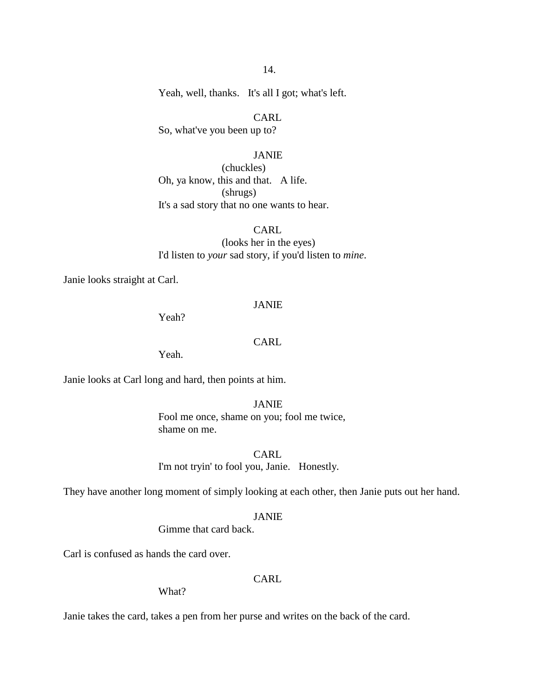Yeah, well, thanks. It's all I got; what's left.

CARL So, what've you been up to?

# JANIE

(chuckles) Oh, ya know, this and that. A life. (shrugs) It's a sad story that no one wants to hear.

CARL (looks her in the eyes) I'd listen to *your* sad story, if you'd listen to *mine*.

Janie looks straight at Carl.

# JANIE

Yeah?

#### CARL

Yeah.

Janie looks at Carl long and hard, then points at him.

#### JANIE

Fool me once, shame on you; fool me twice, shame on me.

CARL I'm not tryin' to fool you, Janie. Honestly.

They have another long moment of simply looking at each other, then Janie puts out her hand.

#### JANIE

Gimme that card back.

Carl is confused as hands the card over.

# CARL.

What?

Janie takes the card, takes a pen from her purse and writes on the back of the card.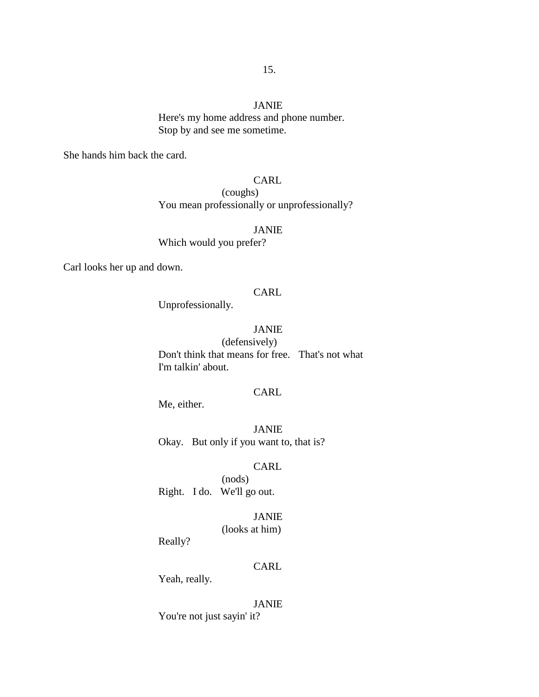# JANIE

Here's my home address and phone number. Stop by and see me sometime.

She hands him back the card.

# CARL

(coughs) You mean professionally or unprofessionally?

JANIE

Which would you prefer?

Carl looks her up and down.

# CARL

Unprofessionally.

# JANIE

(defensively) Don't think that means for free. That's not what I'm talkin' about.

# CARL

Me, either.

JANIE Okay. But only if you want to, that is?

# CARL

(nods) Right. I do. We'll go out.

# JANIE

(looks at him)

Really?

# CARL

Yeah, really.

#### JANIE

You're not just sayin' it?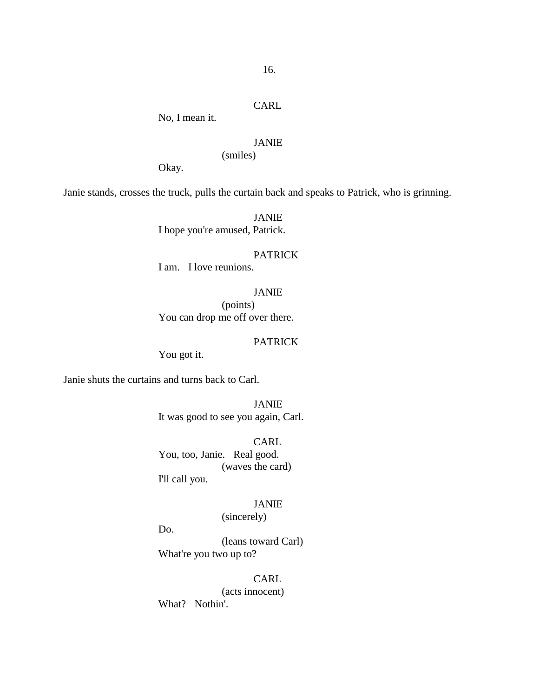# CARL

No, I mean it.

# JANIE

(smiles)

Okay.

Janie stands, crosses the truck, pulls the curtain back and speaks to Patrick, who is grinning.

JANIE I hope you're amused, Patrick.

#### PATRICK

I am. I love reunions.

# JANIE

(points) You can drop me off over there.

# PATRICK

You got it.

Janie shuts the curtains and turns back to Carl.

JANIE It was good to see you again, Carl.

CARL You, too, Janie. Real good. (waves the card) I'll call you.

# JANIE

(sincerely)

Do.

(leans toward Carl) What're you two up to?

**CARL** 

(acts innocent) What? Nothin'.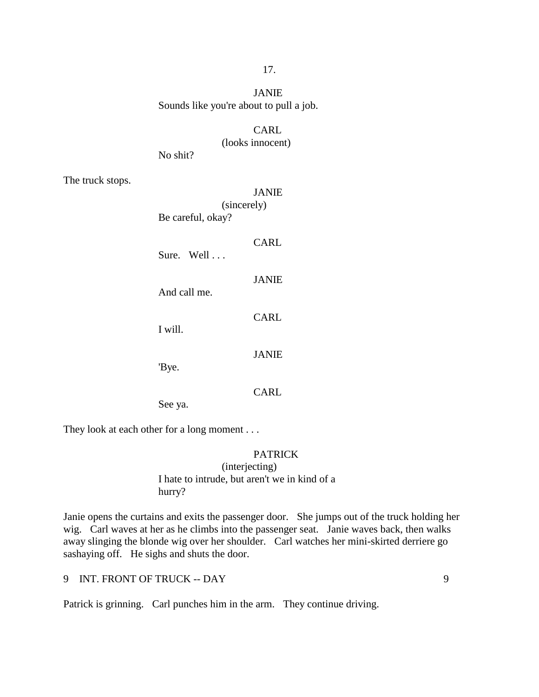# JANIE Sounds like you're about to pull a job.

# CARL

(looks innocent)

No shit?

The truck stops.

|                   | <b>JANIE</b> |
|-------------------|--------------|
| (sincerely)       |              |
| Be careful, okay? |              |
| Sure. Well        | CARL         |
| And call me.      | <b>JANIE</b> |
| I will.           | CARL         |
| 'Bye.             | <b>JANIE</b> |
| See ya.           | CARL         |

They look at each other for a long moment . . .

# PATRICK

# (interjecting) I hate to intrude, but aren't we in kind of a hurry?

Janie opens the curtains and exits the passenger door. She jumps out of the truck holding her wig. Carl waves at her as he climbs into the passenger seat. Janie waves back, then walks away slinging the blonde wig over her shoulder. Carl watches her mini-skirted derriere go sashaying off. He sighs and shuts the door.

9 INT. FRONT OF TRUCK -- DAY 9

Patrick is grinning. Carl punches him in the arm. They continue driving.

# 17.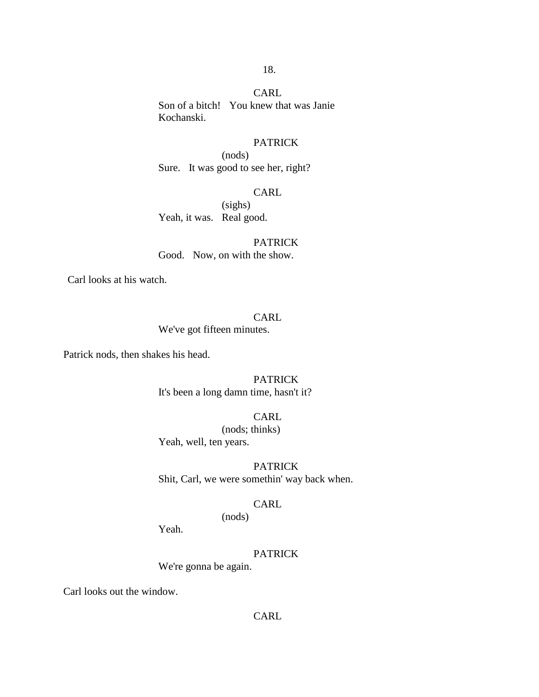#### **CARL**

18.

Son of a bitch! You knew that was Janie Kochanski.

# PATRICK

(nods) Sure. It was good to see her, right?

#### CARL

(sighs) Yeah, it was. Real good.

PATRICK Good. Now, on with the show.

Carl looks at his watch.

# CARL

We've got fifteen minutes.

Patrick nods, then shakes his head.

# PATRICK

It's been a long damn time, hasn't it?

# CARL

(nods; thinks) Yeah, well, ten years.

# PATRICK

Shit, Carl, we were somethin' way back when.

# CARL

(nods)

Yeah.

# PATRICK

We're gonna be again.

Carl looks out the window.

# CARL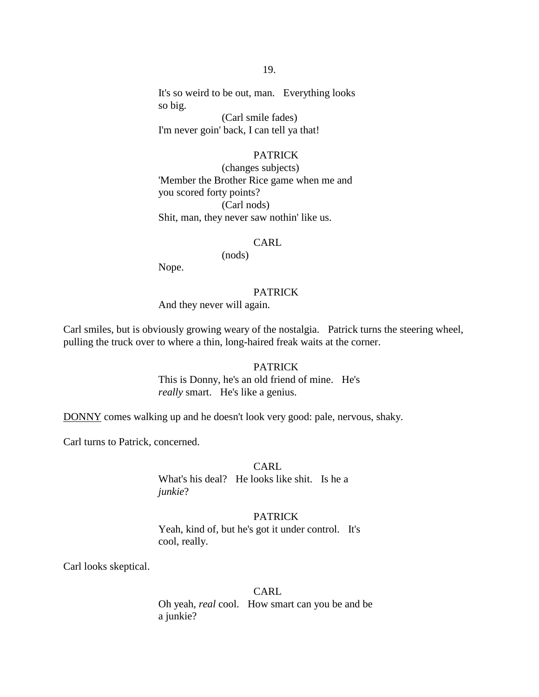It's so weird to be out, man. Everything looks so big.

(Carl smile fades) I'm never goin' back, I can tell ya that!

# PATRICK

(changes subjects) 'Member the Brother Rice game when me and you scored forty points? (Carl nods) Shit, man, they never saw nothin' like us.

#### CARL

(nods)

Nope.

#### PATRICK

And they never will again.

Carl smiles, but is obviously growing weary of the nostalgia. Patrick turns the steering wheel, pulling the truck over to where a thin, long-haired freak waits at the corner.

#### **PATRICK**

This is Donny, he's an old friend of mine. He's *really* smart. He's like a genius.

DONNY comes walking up and he doesn't look very good: pale, nervous, shaky.

Carl turns to Patrick, concerned.

# CARL.

What's his deal? He looks like shit. Is he a *junkie*?

#### PATRICK

Yeah, kind of, but he's got it under control. It's cool, really.

Carl looks skeptical.

# CARL

Oh yeah, *real* cool. How smart can you be and be a junkie?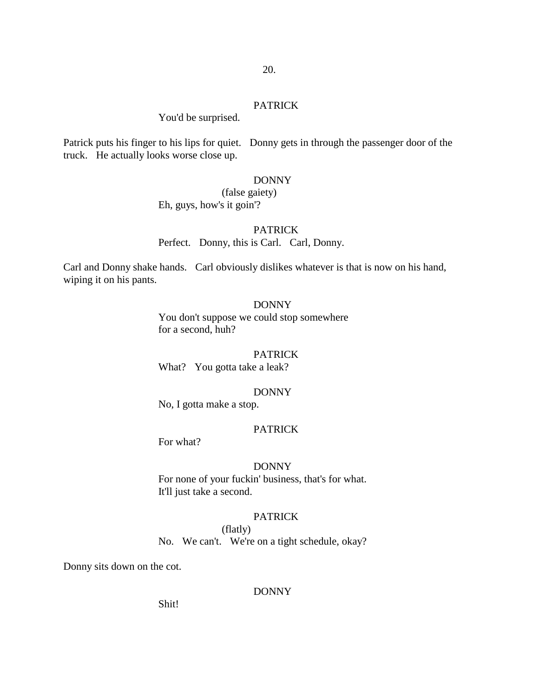#### PATRICK

# You'd be surprised.

Patrick puts his finger to his lips for quiet. Donny gets in through the passenger door of the truck. He actually looks worse close up.

# DONNY

# (false gaiety) Eh, guys, how's it goin'?

#### PATRICK

Perfect. Donny, this is Carl. Carl, Donny.

Carl and Donny shake hands. Carl obviously dislikes whatever is that is now on his hand, wiping it on his pants.

# DONNY

You don't suppose we could stop somewhere for a second, huh?

#### PATRICK

What? You gotta take a leak?

#### DONNY

No, I gotta make a stop.

#### PATRICK

For what?

#### DONNY

For none of your fuckin' business, that's for what. It'll just take a second.

#### PATRICK

(flatly) No. We can't. We're on a tight schedule, okay?

Donny sits down on the cot.

# DONNY

Shit!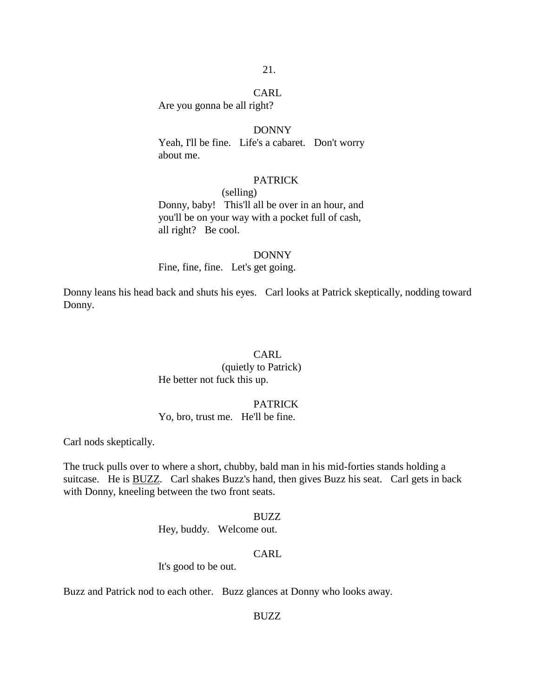#### CARL

Are you gonna be all right?

# DONNY

Yeah, I'll be fine. Life's a cabaret. Don't worry about me.

# **PATRICK**

(selling)

Donny, baby! This'll all be over in an hour, and you'll be on your way with a pocket full of cash, all right? Be cool.

#### DONNY

Fine, fine, fine. Let's get going.

Donny leans his head back and shuts his eyes. Carl looks at Patrick skeptically, nodding toward Donny.

# CARL

(quietly to Patrick) He better not fuck this up.

#### PATRICK

Yo, bro, trust me. He'll be fine.

Carl nods skeptically.

The truck pulls over to where a short, chubby, bald man in his mid-forties stands holding a suitcase. He is BUZZ. Carl shakes Buzz's hand, then gives Buzz his seat. Carl gets in back with Donny, kneeling between the two front seats.

#### BUZZ

Hey, buddy. Welcome out.

#### CARL

It's good to be out.

Buzz and Patrick nod to each other. Buzz glances at Donny who looks away.

#### BUZZ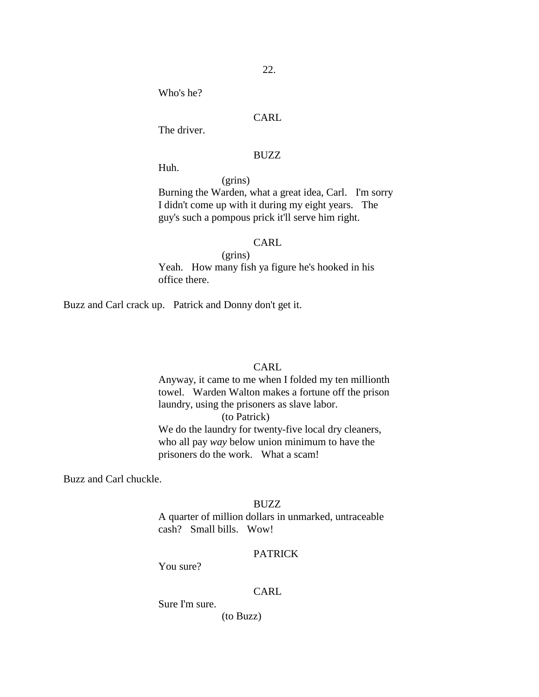Who's he?

# CARL

The driver.

# BUZZ

Huh.

(grins)

Burning the Warden, what a great idea, Carl. I'm sorry I didn't come up with it during my eight years. The guy's such a pompous prick it'll serve him right.

# CARL

(grins) Yeah. How many fish ya figure he's hooked in his office there.

Buzz and Carl crack up. Patrick and Donny don't get it.

#### CARL

Anyway, it came to me when I folded my ten millionth towel. Warden Walton makes a fortune off the prison laundry, using the prisoners as slave labor. (to Patrick) We do the laundry for twenty-five local dry cleaners, who all pay *way* below union minimum to have the prisoners do the work. What a scam!

Buzz and Carl chuckle.

# BUZZ

A quarter of million dollars in unmarked, untraceable cash? Small bills. Wow!

# PATRICK

You sure?

#### CARL

Sure I'm sure.

(to Buzz)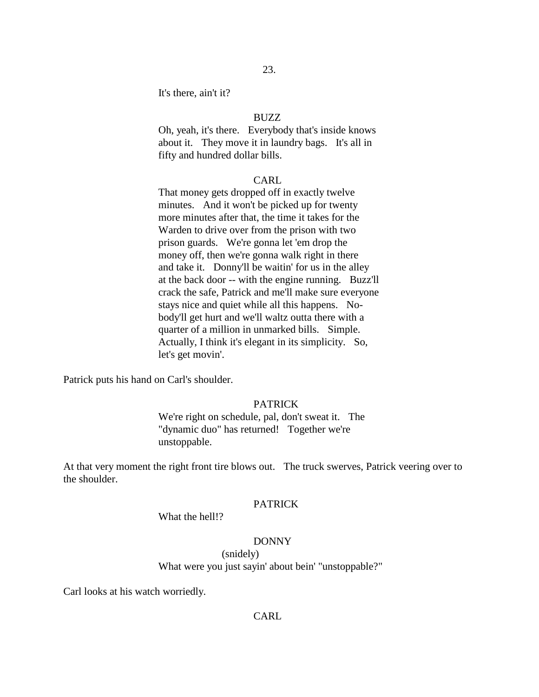It's there, ain't it?

# BUZZ

Oh, yeah, it's there. Everybody that's inside knows about it. They move it in laundry bags. It's all in fifty and hundred dollar bills.

#### CARL

That money gets dropped off in exactly twelve minutes. And it won't be picked up for twenty more minutes after that, the time it takes for the Warden to drive over from the prison with two prison guards. We're gonna let 'em drop the money off, then we're gonna walk right in there and take it. Donny'll be waitin' for us in the alley at the back door -- with the engine running. Buzz'll crack the safe, Patrick and me'll make sure everyone stays nice and quiet while all this happens. Nobody'll get hurt and we'll waltz outta there with a quarter of a million in unmarked bills. Simple. Actually, I think it's elegant in its simplicity. So, let's get movin'.

Patrick puts his hand on Carl's shoulder.

# PATRICK

We're right on schedule, pal, don't sweat it. The "dynamic duo" has returned! Together we're unstoppable.

At that very moment the right front tire blows out. The truck swerves, Patrick veering over to the shoulder.

# PATRICK

What the hell!?

#### DONNY

(snidely)

What were you just sayin' about bein' "unstoppable?"

Carl looks at his watch worriedly.

#### CARL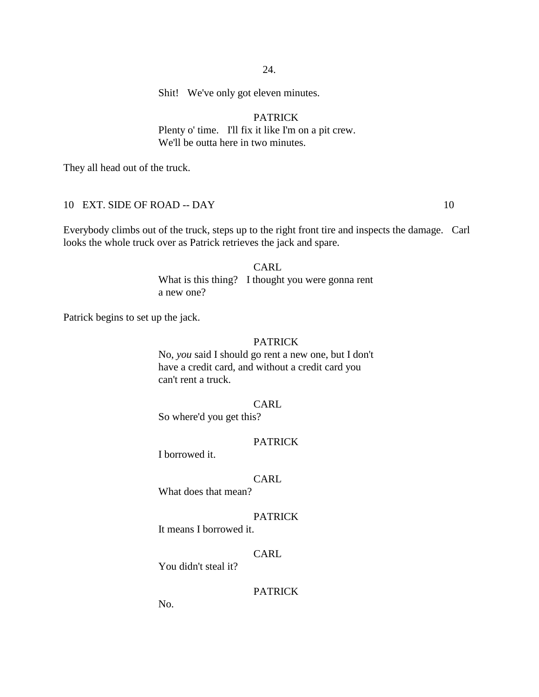Shit! We've only got eleven minutes.

# PATRICK

Plenty o' time. I'll fix it like I'm on a pit crew. We'll be outta here in two minutes.

They all head out of the truck.

# 10 EXT. SIDE OF ROAD -- DAY 10

Everybody climbs out of the truck, steps up to the right front tire and inspects the damage. Carl looks the whole truck over as Patrick retrieves the jack and spare.

> **CARL** What is this thing? I thought you were gonna rent a new one?

Patrick begins to set up the jack.

#### PATRICK

No, *you* said I should go rent a new one, but I don't have a credit card, and without a credit card you can't rent a truck.

#### CARL

So where'd you get this?

# PATRICK

I borrowed it.

# CARL

What does that mean?

#### PATRICK

It means I borrowed it.

# CARL

You didn't steal it?

#### PATRICK

No.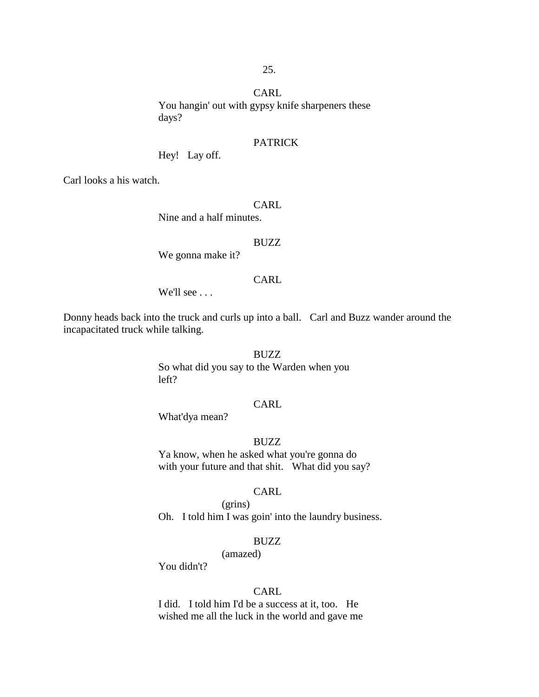CARL You hangin' out with gypsy knife sharpeners these days?

#### PATRICK

Hey! Lay off.

Carl looks a his watch.

# CARL

Nine and a half minutes.

#### BUZZ

We gonna make it?

#### CARL

We'll see . . .

Donny heads back into the truck and curls up into a ball. Carl and Buzz wander around the incapacitated truck while talking.

# BUZZ

So what did you say to the Warden when you left?

#### CARL

What'dya mean?

# BUZZ

Ya know, when he asked what you're gonna do with your future and that shit. What did you say?

#### CARL

Oh. I told him I was goin' into the laundry business.

#### BUZZ

(amazed)

(grins)

You didn't?

#### CARL

I did. I told him I'd be a success at it, too. He wished me all the luck in the world and gave me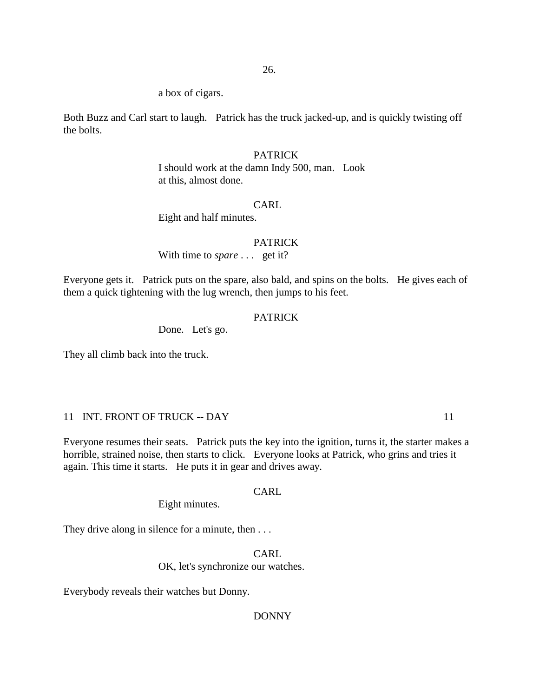a box of cigars.

Both Buzz and Carl start to laugh. Patrick has the truck jacked-up, and is quickly twisting off the bolts.

# PATRICK

I should work at the damn Indy 500, man. Look at this, almost done.

# CARL

Eight and half minutes.

#### PATRICK

With time to *spare* . . . get it?

Everyone gets it. Patrick puts on the spare, also bald, and spins on the bolts. He gives each of them a quick tightening with the lug wrench, then jumps to his feet.

#### PATRICK

Done. Let's go.

They all climb back into the truck.

# 11 INT. FRONT OF TRUCK -- DAY 11

Everyone resumes their seats. Patrick puts the key into the ignition, turns it, the starter makes a horrible, strained noise, then starts to click. Everyone looks at Patrick, who grins and tries it again. This time it starts. He puts it in gear and drives away.

# CARL

Eight minutes.

They drive along in silence for a minute, then ...

CARL OK, let's synchronize our watches.

Everybody reveals their watches but Donny.

#### DONNY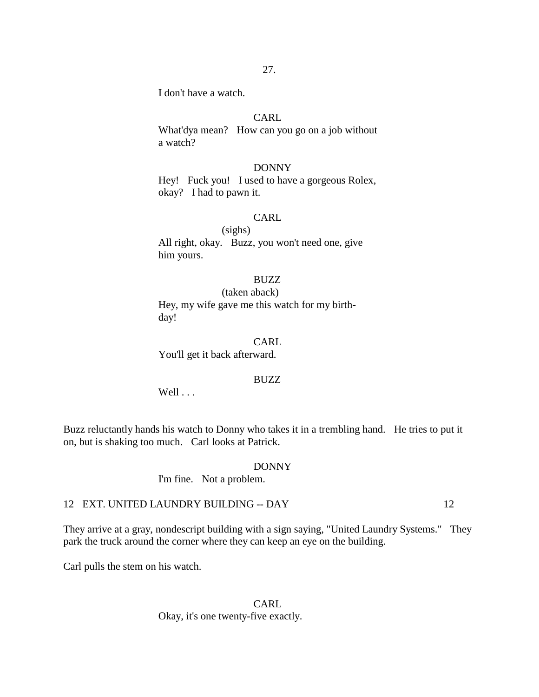I don't have a watch.

# CARL

What'dya mean? How can you go on a job without a watch?

#### DONNY

Hey! Fuck you! I used to have a gorgeous Rolex, okay? I had to pawn it.

# CARL

(sighs) All right, okay. Buzz, you won't need one, give him yours.

#### BUZZ

(taken aback) Hey, my wife gave me this watch for my birthday!

#### CARL

You'll get it back afterward.

#### BUZZ

Well . . .

Buzz reluctantly hands his watch to Donny who takes it in a trembling hand. He tries to put it on, but is shaking too much. Carl looks at Patrick.

#### DONNY

I'm fine. Not a problem.

# 12 EXT. UNITED LAUNDRY BUILDING -- DAY 12

They arrive at a gray, nondescript building with a sign saying, "United Laundry Systems." They park the truck around the corner where they can keep an eye on the building.

Carl pulls the stem on his watch.

CARL Okay, it's one twenty-five exactly.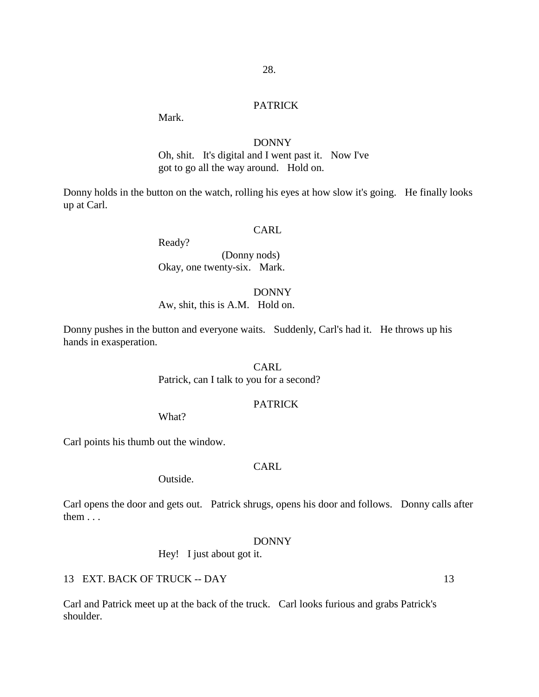#### PATRICK

Mark.

#### DONNY

Oh, shit. It's digital and I went past it. Now I've got to go all the way around. Hold on.

Donny holds in the button on the watch, rolling his eyes at how slow it's going. He finally looks up at Carl.

#### CARL

Ready?

(Donny nods) Okay, one twenty-six. Mark.

DONNY

Aw, shit, this is A.M. Hold on.

Donny pushes in the button and everyone waits. Suddenly, Carl's had it. He throws up his hands in exasperation.

# CARL

Patrick, can I talk to you for a second?

#### PATRICK

What?

Carl points his thumb out the window.

# CARL.

Outside.

Carl opens the door and gets out. Patrick shrugs, opens his door and follows. Donny calls after them . . .

#### DONNY

Hey! I just about got it.

13 EXT. BACK OF TRUCK -- DAY 13

Carl and Patrick meet up at the back of the truck. Carl looks furious and grabs Patrick's shoulder.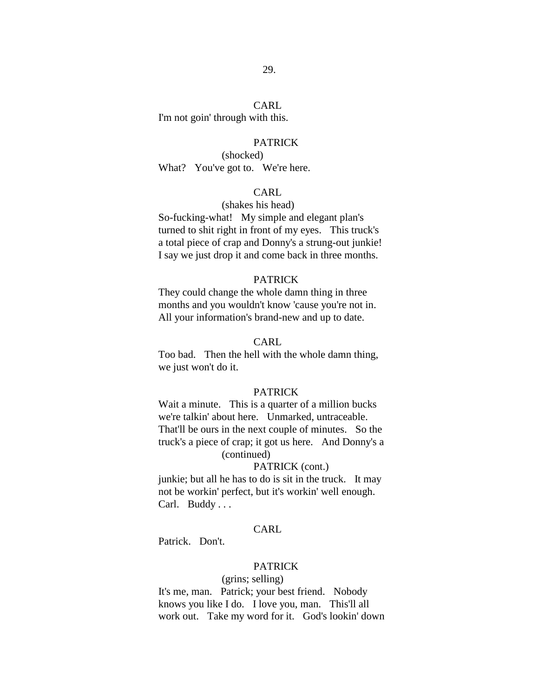# CARL

I'm not goin' through with this.

#### **PATRICK**

(shocked) What? You've got to. We're here.

# CARL

#### (shakes his head)

So-fucking-what! My simple and elegant plan's turned to shit right in front of my eyes. This truck's a total piece of crap and Donny's a strung-out junkie! I say we just drop it and come back in three months.

#### PATRICK

They could change the whole damn thing in three months and you wouldn't know 'cause you're not in. All your information's brand-new and up to date.

#### CARL

Too bad. Then the hell with the whole damn thing, we just won't do it.

# **PATRICK**

Wait a minute. This is a quarter of a million bucks we're talkin' about here. Unmarked, untraceable. That'll be ours in the next couple of minutes. So the truck's a piece of crap; it got us here. And Donny's a (continued)

#### PATRICK (cont.)

junkie; but all he has to do is sit in the truck. It may not be workin' perfect, but it's workin' well enough. Carl. Buddy ...

# CARL

Patrick. Don't.

# PATRICK

#### (grins; selling)

It's me, man. Patrick; your best friend. Nobody knows you like I do. I love you, man. This'll all work out. Take my word for it. God's lookin' down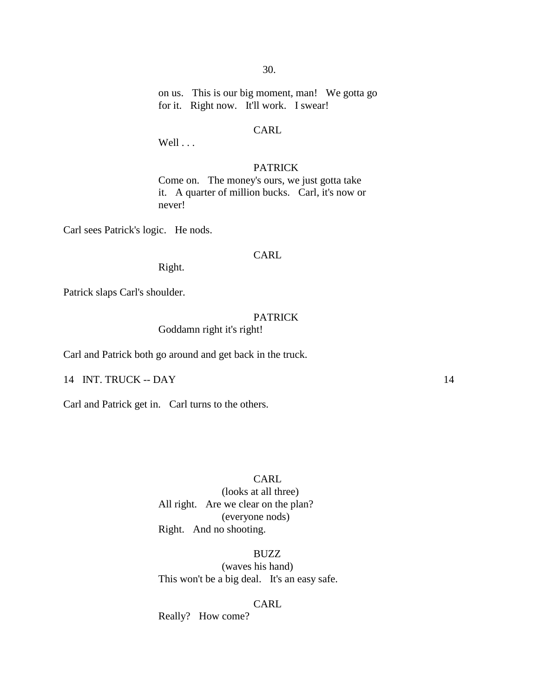on us. This is our big moment, man! We gotta go for it. Right now. It'll work. I swear!

# CARL

Well ...

# PATRICK

Come on. The money's ours, we just gotta take it. A quarter of million bucks. Carl, it's now or never!

Carl sees Patrick's logic. He nods.

#### CARL

Right.

Patrick slaps Carl's shoulder.

#### PATRICK

Goddamn right it's right!

Carl and Patrick both go around and get back in the truck.

14 INT. TRUCK -- DAY 14

Carl and Patrick get in. Carl turns to the others.

# CARL.

(looks at all three) All right. Are we clear on the plan? (everyone nods) Right. And no shooting.

BUZZ

(waves his hand) This won't be a big deal. It's an easy safe.

# CARL

Really? How come?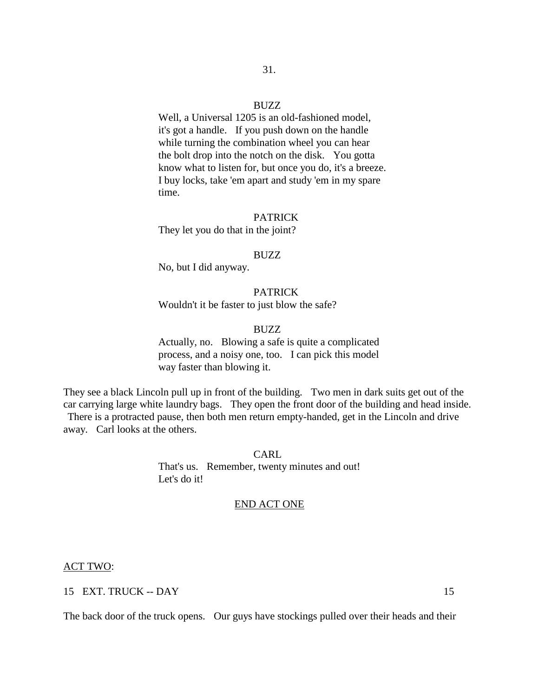#### BUZZ

Well, a Universal 1205 is an old-fashioned model, it's got a handle. If you push down on the handle while turning the combination wheel you can hear the bolt drop into the notch on the disk. You gotta know what to listen for, but once you do, it's a breeze. I buy locks, take 'em apart and study 'em in my spare time.

# PATRICK

They let you do that in the joint?

#### BUZZ

No, but I did anyway.

# PATRICK

Wouldn't it be faster to just blow the safe?

#### BUZZ

Actually, no. Blowing a safe is quite a complicated process, and a noisy one, too. I can pick this model way faster than blowing it.

They see a black Lincoln pull up in front of the building. Two men in dark suits get out of the car carrying large white laundry bags. They open the front door of the building and head inside. There is a protracted pause, then both men return empty-handed, get in the Lincoln and drive

away. Carl looks at the others.

CARL That's us. Remember, twenty minutes and out! Let's do it!

# END ACT ONE

#### ACT TWO:

# 15 EXT. TRUCK -- DAY 15

The back door of the truck opens. Our guys have stockings pulled over their heads and their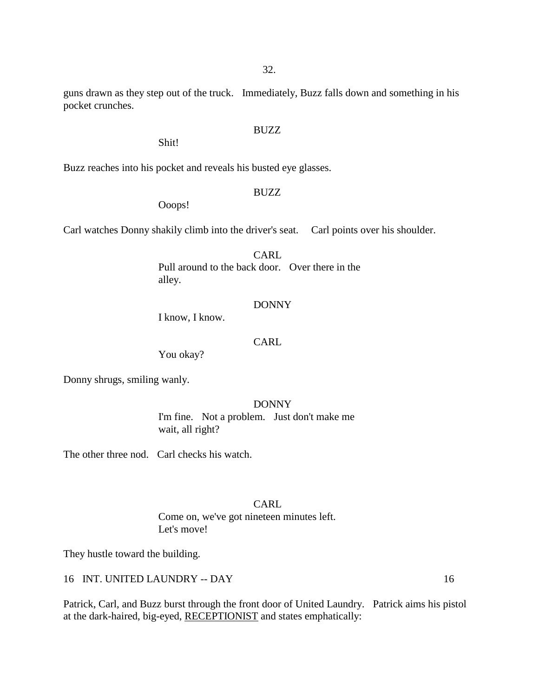guns drawn as they step out of the truck. Immediately, Buzz falls down and something in his

BUZZ

# pocket crunches.

Buzz reaches into his pocket and reveals his busted eye glasses.

# BUZZ

Ooops!

Shit!

Carl watches Donny shakily climb into the driver's seat. Carl points over his shoulder.

# CARL.

Pull around to the back door. Over there in the alley.

# DONNY

I know, I know.

# CARL

You okay?

Donny shrugs, smiling wanly.

# DONNY

I'm fine. Not a problem. Just don't make me wait, all right?

The other three nod. Carl checks his watch.

# **CARL** Come on, we've got nineteen minutes left. Let's move!

They hustle toward the building.

16 INT. UNITED LAUNDRY -- DAY 16

Patrick, Carl, and Buzz burst through the front door of United Laundry. Patrick aims his pistol at the dark-haired, big-eyed, RECEPTIONIST and states emphatically: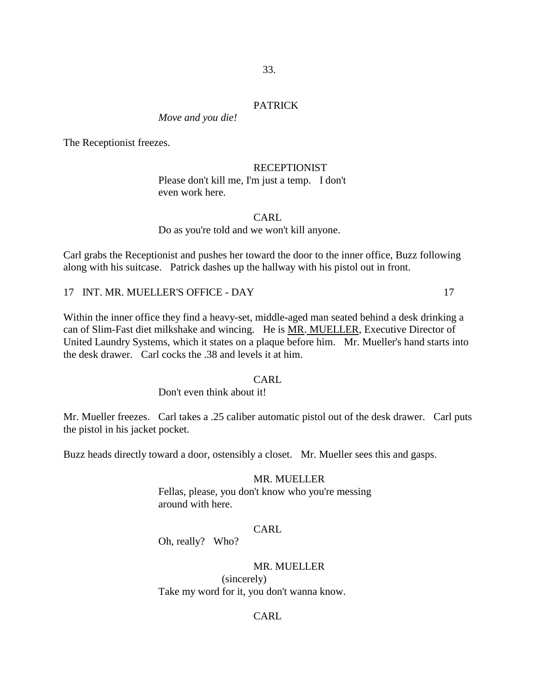#### PATRICK

*Move and you die!*

The Receptionist freezes.

RECEPTIONIST Please don't kill me, I'm just a temp. I don't even work here.

# CARL

#### Do as you're told and we won't kill anyone.

Carl grabs the Receptionist and pushes her toward the door to the inner office, Buzz following along with his suitcase. Patrick dashes up the hallway with his pistol out in front.

17 INT. MR. MUELLER'S OFFICE - DAY 17

Within the inner office they find a heavy-set, middle-aged man seated behind a desk drinking a can of Slim-Fast diet milkshake and wincing. He is MR. MUELLER, Executive Director of United Laundry Systems, which it states on a plaque before him. Mr. Mueller's hand starts into the desk drawer. Carl cocks the .38 and levels it at him.

#### CARL.

Don't even think about it!

Mr. Mueller freezes. Carl takes a .25 caliber automatic pistol out of the desk drawer. Carl puts the pistol in his jacket pocket.

Buzz heads directly toward a door, ostensibly a closet. Mr. Mueller sees this and gasps.

# MR. MUELLER

Fellas, please, you don't know who you're messing around with here.

# CARL

Oh, really? Who?

# MR. MUELLER

(sincerely) Take my word for it, you don't wanna know.

# CARL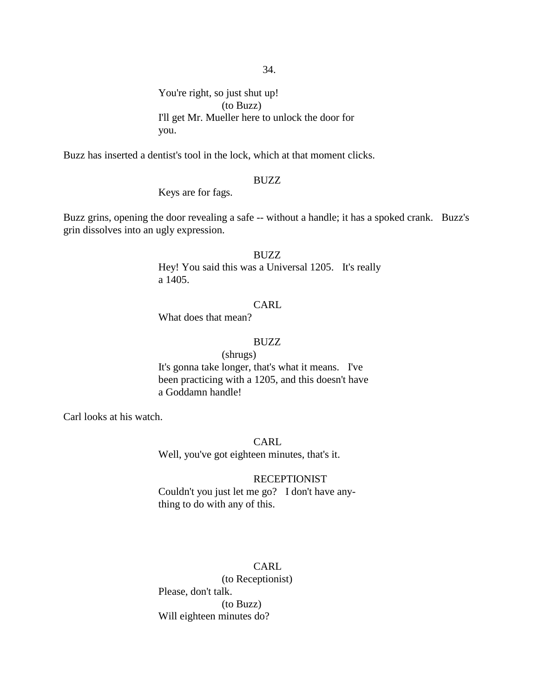You're right, so just shut up! (to Buzz) I'll get Mr. Mueller here to unlock the door for you.

Buzz has inserted a dentist's tool in the lock, which at that moment clicks.

# BUZZ

Keys are for fags.

Buzz grins, opening the door revealing a safe -- without a handle; it has a spoked crank. Buzz's grin dissolves into an ugly expression.

#### BUZZ

Hey! You said this was a Universal 1205. It's really a 1405.

# CARL

What does that mean?

#### BUZZ

# (shrugs)

It's gonna take longer, that's what it means. I've been practicing with a 1205, and this doesn't have a Goddamn handle!

Carl looks at his watch.

CARL

Well, you've got eighteen minutes, that's it.

# **RECEPTIONIST**

Couldn't you just let me go? I don't have anything to do with any of this.

# **CARL**

(to Receptionist) Please, don't talk. (to Buzz) Will eighteen minutes do?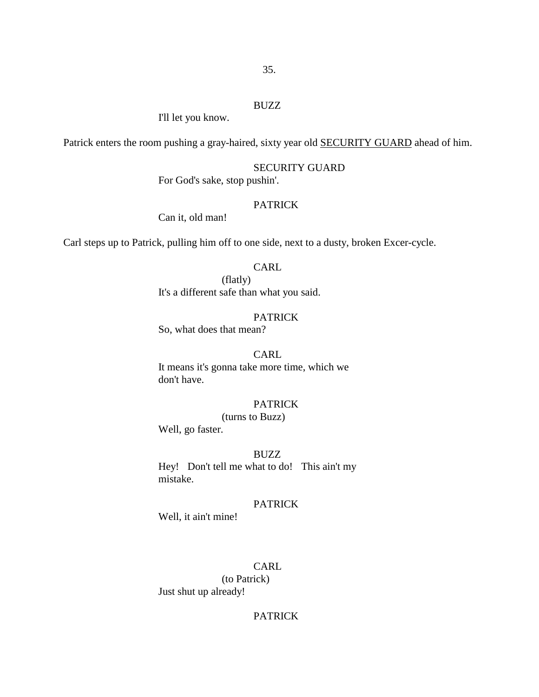#### BUZZ

I'll let you know.

Patrick enters the room pushing a gray-haired, sixty year old SECURITY GUARD ahead of him.

# SECURITY GUARD

For God's sake, stop pushin'.

# PATRICK

Can it, old man!

Carl steps up to Patrick, pulling him off to one side, next to a dusty, broken Excer-cycle.

# **CARL**

(flatly) It's a different safe than what you said.

# PATRICK

So, what does that mean?

# **CARL**

It means it's gonna take more time, which we don't have.

# **PATRICK**

(turns to Buzz)

Well, go faster.

# BUZZ

Hey! Don't tell me what to do! This ain't my mistake.

# PATRICK

Well, it ain't mine!

# CARL

(to Patrick) Just shut up already!

# **PATRICK**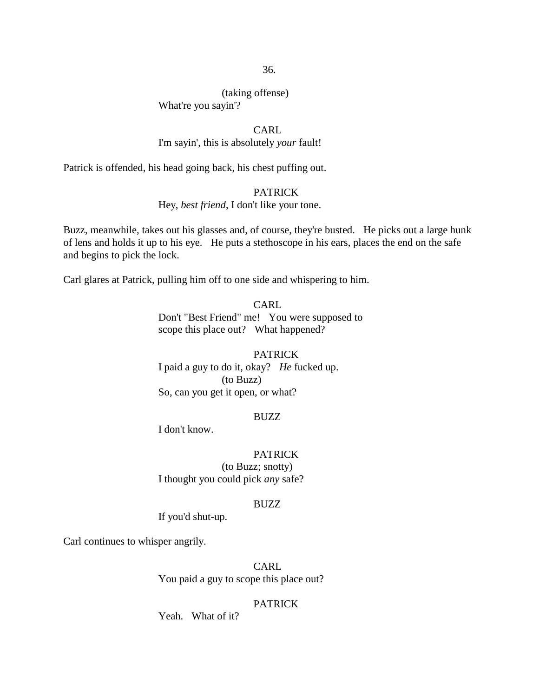(taking offense)

What're you sayin'?

# CARL

# I'm sayin', this is absolutely *your* fault!

Patrick is offended, his head going back, his chest puffing out.

# PATRICK

# Hey, *best friend*, I don't like your tone.

Buzz, meanwhile, takes out his glasses and, of course, they're busted. He picks out a large hunk of lens and holds it up to his eye. He puts a stethoscope in his ears, places the end on the safe and begins to pick the lock.

Carl glares at Patrick, pulling him off to one side and whispering to him.

CARL Don't "Best Friend" me! You were supposed to scope this place out? What happened?

# PATRICK I paid a guy to do it, okay? *He* fucked up. (to Buzz) So, can you get it open, or what?

# BUZZ

I don't know.

# PATRICK

(to Buzz; snotty) I thought you could pick *any* safe?

#### BUZZ

If you'd shut-up.

Carl continues to whisper angrily.

CARL You paid a guy to scope this place out?

# PATRICK

Yeah. What of it?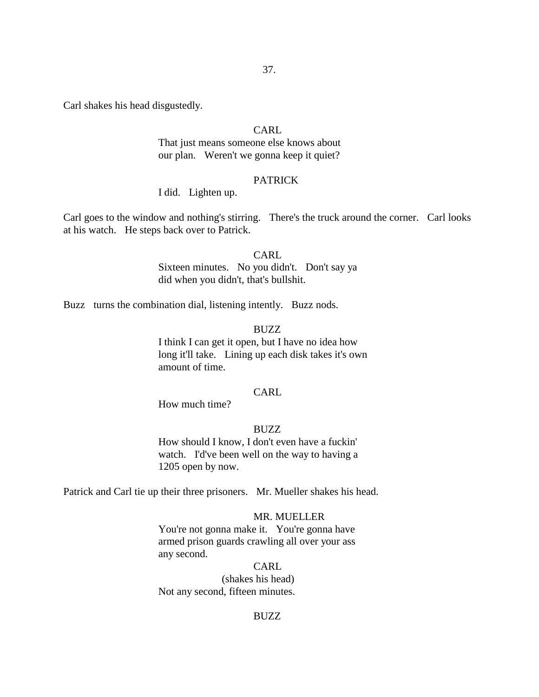Carl shakes his head disgustedly.

# CARL

That just means someone else knows about our plan. Weren't we gonna keep it quiet?

# **PATRICK**

# I did. Lighten up.

Carl goes to the window and nothing's stirring. There's the truck around the corner. Carl looks at his watch. He steps back over to Patrick.

#### CARL

Sixteen minutes. No you didn't. Don't say ya did when you didn't, that's bullshit.

Buzz turns the combination dial, listening intently. Buzz nods.

#### BUZZ

I think I can get it open, but I have no idea how long it'll take. Lining up each disk takes it's own amount of time.

# CARL

How much time?

# BUZZ

How should I know, I don't even have a fuckin' watch. I'd've been well on the way to having a 1205 open by now.

Patrick and Carl tie up their three prisoners. Mr. Mueller shakes his head.

#### MR. MUELLER

You're not gonna make it. You're gonna have armed prison guards crawling all over your ass any second.

### CARL

(shakes his head) Not any second, fifteen minutes.

#### BUZZ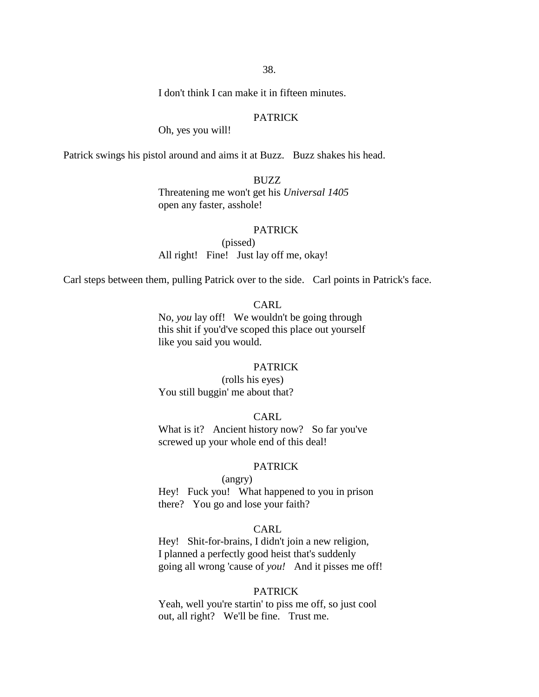I don't think I can make it in fifteen minutes.

# PATRICK

Oh, yes you will!

Patrick swings his pistol around and aims it at Buzz. Buzz shakes his head.

### BUZZ

Threatening me won't get his *Universal 1405*  open any faster, asshole!

#### PATRICK

(pissed) All right! Fine! Just lay off me, okay!

Carl steps between them, pulling Patrick over to the side. Carl points in Patrick's face.

# CARL

No, *you* lay off! We wouldn't be going through this shit if you'd've scoped this place out yourself like you said you would.

#### PATRICK

(rolls his eyes) You still buggin' me about that?

# CARL

What is it? Ancient history now? So far you've screwed up your whole end of this deal!

# PATRICK

(angry) Hey! Fuck you! What happened to you in prison

there? You go and lose your faith?

# CARL

Hey! Shit-for-brains, I didn't join a new religion, I planned a perfectly good heist that's suddenly going all wrong 'cause of *you!* And it pisses me off!

### PATRICK

Yeah, well you're startin' to piss me off, so just cool out, all right? We'll be fine. Trust me.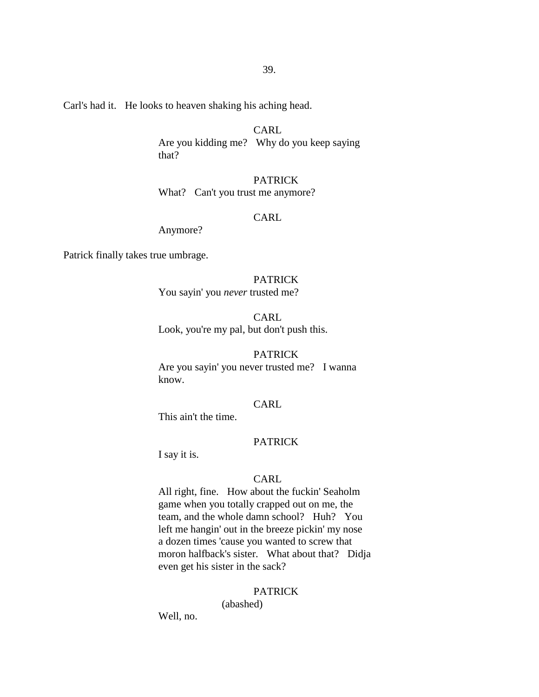Carl's had it. He looks to heaven shaking his aching head.

# CARL

Are you kidding me? Why do you keep saying that?

# PATRICK

What? Can't you trust me anymore?

# CARL

Anymore?

Patrick finally takes true umbrage.

# PATRICK

You sayin' you *never* trusted me?

CARL Look, you're my pal, but don't push this.

# PATRICK

Are you sayin' you never trusted me? I wanna know.

### CARL

This ain't the time.

# PATRICK

I say it is.

# CARL

All right, fine. How about the fuckin' Seaholm game when you totally crapped out on me, the team, and the whole damn school? Huh? You left me hangin' out in the breeze pickin' my nose a dozen times 'cause you wanted to screw that moron halfback's sister. What about that? Didja even get his sister in the sack?

# PATRICK

(abashed)

Well, no.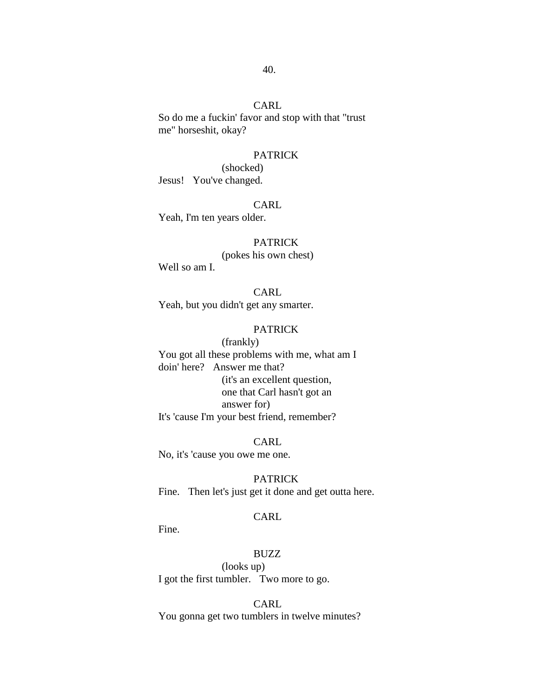So do me a fuckin' favor and stop with that "trust me" horseshit, okay?

# PATRICK

(shocked) Jesus! You've changed.

CARL Yeah, I'm ten years older.

# PATRICK

(pokes his own chest)

Well so am I.

CARL Yeah, but you didn't get any smarter.

# PATRICK

(frankly) You got all these problems with me, what am I doin' here? Answer me that? (it's an excellent question, one that Carl hasn't got an answer for) It's 'cause I'm your best friend, remember?

CARL No, it's 'cause you owe me one.

PATRICK Fine. Then let's just get it done and get outta here.

# CARL

Fine.

# BUZZ

(looks up) I got the first tumbler. Two more to go.

CARL

You gonna get two tumblers in twelve minutes?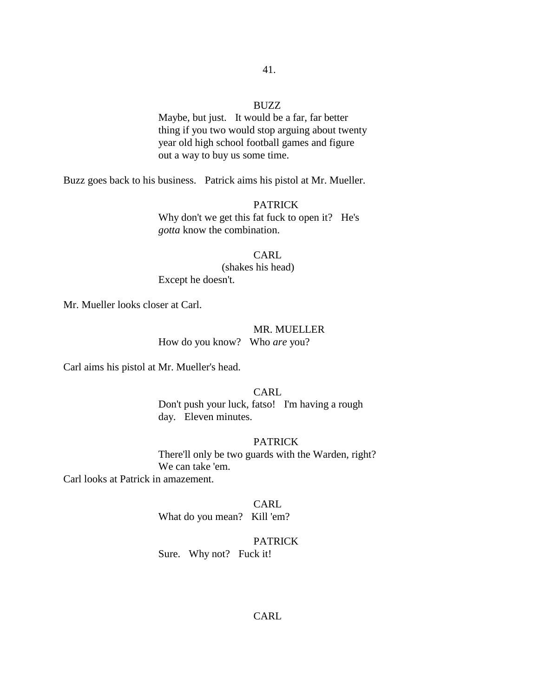### BUZZ

Maybe, but just. It would be a far, far better thing if you two would stop arguing about twenty year old high school football games and figure out a way to buy us some time.

Buzz goes back to his business. Patrick aims his pistol at Mr. Mueller.

### PATRICK

Why don't we get this fat fuck to open it? He's *gotta* know the combination.

### CARL

(shakes his head)

Except he doesn't.

Mr. Mueller looks closer at Carl.

#### MR. MUELLER

How do you know? Who *are* you?

Carl aims his pistol at Mr. Mueller's head.

# CARL

Don't push your luck, fatso! I'm having a rough day. Eleven minutes.

# PATRICK

There'll only be two guards with the Warden, right? We can take 'em.

Carl looks at Patrick in amazement.

#### CARL

What do you mean? Kill 'em?

# PATRICK

Sure. Why not? Fuck it!

# CARL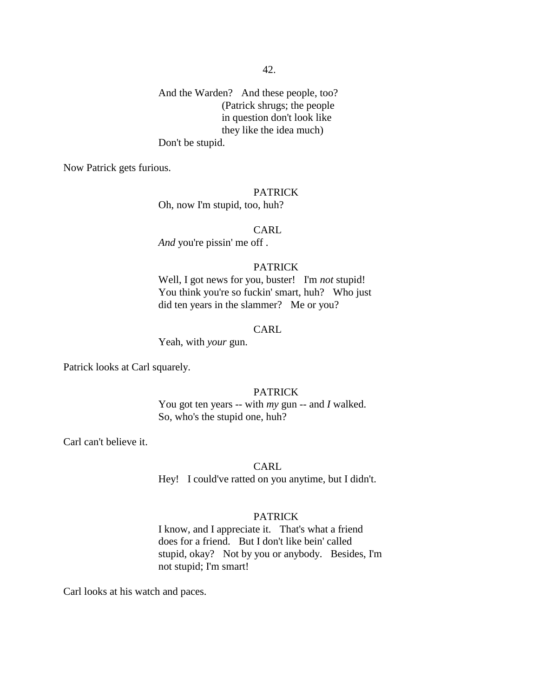And the Warden? And these people, too? (Patrick shrugs; the people in question don't look like they like the idea much) Don't be stupid.

Now Patrick gets furious.

#### PATRICK

Oh, now I'm stupid, too, huh?

CARL

*And* you're pissin' me off .

# PATRICK

Well, I got news for you, buster! I'm *not* stupid! You think you're so fuckin' smart, huh? Who just did ten years in the slammer? Me or you?

#### CARL

Yeah, with *your* gun.

Patrick looks at Carl squarely.

# PATRICK

You got ten years -- with *my* gun -- and *I* walked. So, who's the stupid one, huh?

Carl can't believe it.

CARL

Hey! I could've ratted on you anytime, but I didn't.

#### PATRICK

I know, and I appreciate it. That's what a friend does for a friend. But I don't like bein' called stupid, okay? Not by you or anybody. Besides, I'm not stupid; I'm smart!

Carl looks at his watch and paces.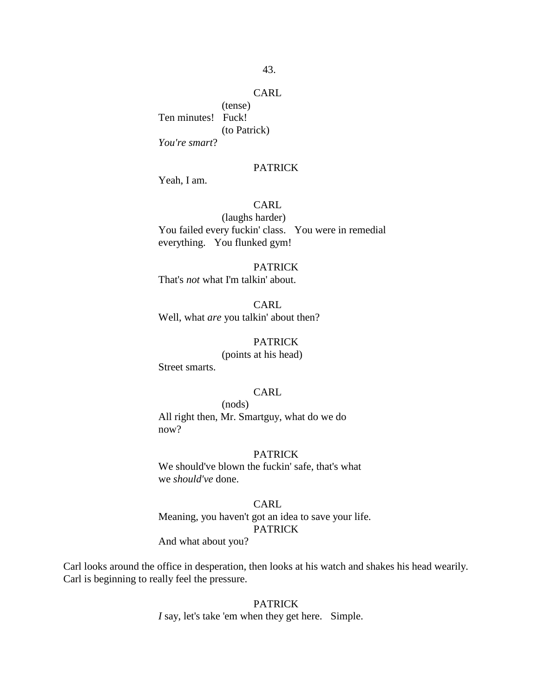(tense) Ten minutes! Fuck! (to Patrick) *You're smart*?

### PATRICK

Yeah, I am.

# CARL

(laughs harder) You failed every fuckin' class. You were in remedial everything. You flunked gym!

# PATRICK That's *not* what I'm talkin' about.

CARL Well, what *are* you talkin' about then?

#### PATRICK

# (points at his head)

Street smarts.

# CARL

(nods) All right then, Mr. Smartguy, what do we do now?

#### PATRICK

We should've blown the fuckin' safe, that's what we *should've* done.

### CARL

Meaning, you haven't got an idea to save your life. **PATRICK** 

And what about you?

Carl looks around the office in desperation, then looks at his watch and shakes his head wearily. Carl is beginning to really feel the pressure.

### **PATRICK**

*I* say, let's take 'em when they get here. Simple.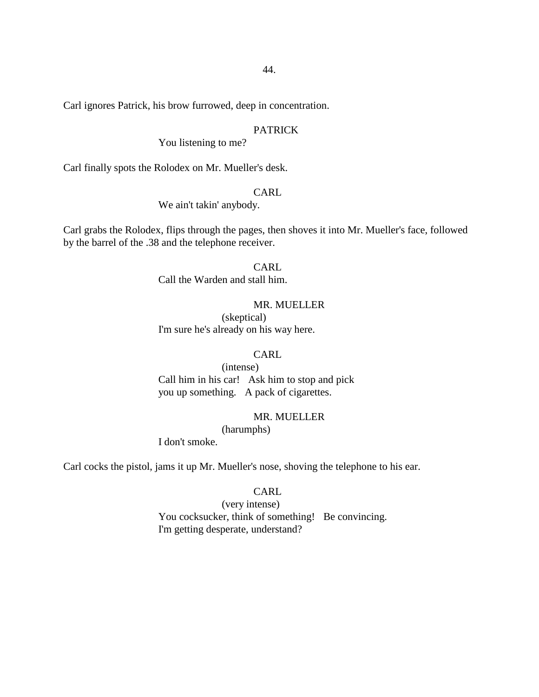Carl ignores Patrick, his brow furrowed, deep in concentration.

# PATRICK

You listening to me?

Carl finally spots the Rolodex on Mr. Mueller's desk.

### CARL

We ain't takin' anybody.

Carl grabs the Rolodex, flips through the pages, then shoves it into Mr. Mueller's face, followed by the barrel of the .38 and the telephone receiver.

# CARL

Call the Warden and stall him.

# MR. MUELLER

(skeptical) I'm sure he's already on his way here.

# CARL

(intense) Call him in his car! Ask him to stop and pick you up something. A pack of cigarettes.

# MR. MUELLER

(harumphs) I don't smoke.

Carl cocks the pistol, jams it up Mr. Mueller's nose, shoving the telephone to his ear.

#### CARL

(very intense) You cocksucker, think of something! Be convincing. I'm getting desperate, understand?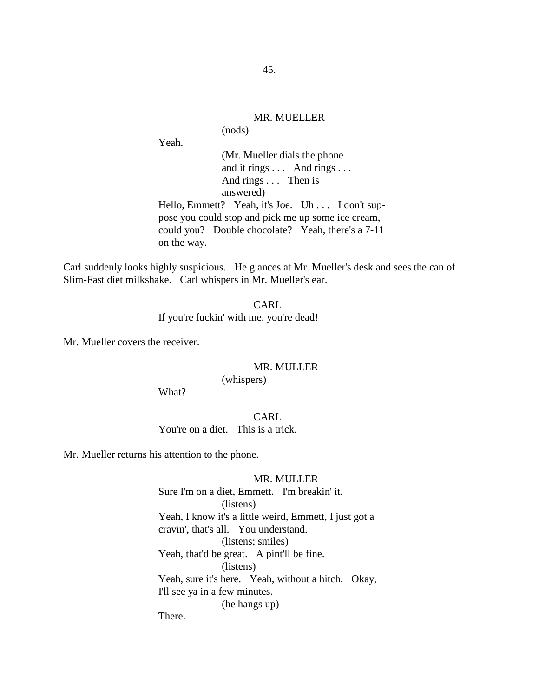# MR. MUELLER

(nods)

Yeah.

(Mr. Mueller dials the phone and it rings . . . And rings . . . And rings . . . Then is answered)

Hello, Emmett? Yeah, it's Joe. Uh . . . I don't suppose you could stop and pick me up some ice cream, could you? Double chocolate? Yeah, there's a 7-11 on the way.

Carl suddenly looks highly suspicious. He glances at Mr. Mueller's desk and sees the can of Slim-Fast diet milkshake. Carl whispers in Mr. Mueller's ear.

> CARL If you're fuckin' with me, you're dead!

Mr. Mueller covers the receiver.

#### MR. MULLER

(whispers)

What?

CARL You're on a diet. This is a trick.

Mr. Mueller returns his attention to the phone.

### MR. MULLER

Sure I'm on a diet, Emmett. I'm breakin' it. (listens) Yeah, I know it's a little weird, Emmett, I just got a cravin', that's all. You understand. (listens; smiles) Yeah, that'd be great. A pint'll be fine. (listens) Yeah, sure it's here. Yeah, without a hitch. Okay, I'll see ya in a few minutes. (he hangs up) There.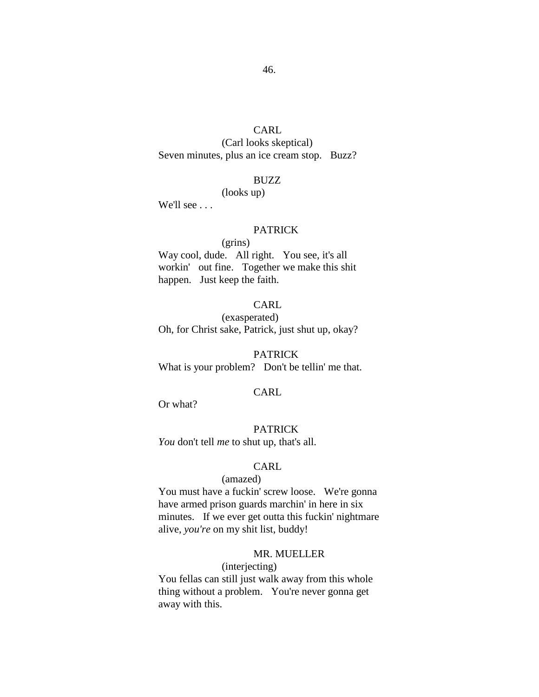(Carl looks skeptical) Seven minutes, plus an ice cream stop. Buzz?

#### BUZZ

# (looks up)

We'll see . . .

#### PATRICK

# (grins)

Way cool, dude. All right. You see, it's all workin' out fine. Together we make this shit happen. Just keep the faith.

# CARL

(exasperated) Oh, for Christ sake, Patrick, just shut up, okay?

# **PATRICK**

What is your problem? Don't be tellin' me that.

# CARL

Or what?

#### PATRICK

*You* don't tell *me* to shut up, that's all.

# CARL

# (amazed)

You must have a fuckin' screw loose. We're gonna have armed prison guards marchin' in here in six minutes. If we ever get outta this fuckin' nightmare alive, *you're* on my shit list, buddy!

# MR. MUELLER

# (interjecting)

You fellas can still just walk away from this whole thing without a problem. You're never gonna get away with this.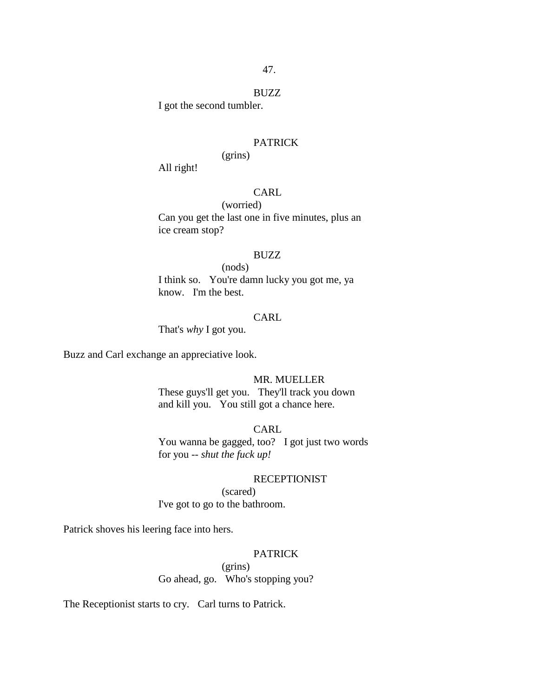#### BUZZ

I got the second tumbler.

### PATRICK

# (grins)

All right!

# CARL

(worried) Can you get the last one in five minutes, plus an ice cream stop?

#### BUZZ

(nods) I think so. You're damn lucky you got me, ya know. I'm the best.

# CARL

That's *why* I got you.

Buzz and Carl exchange an appreciative look.

# MR. MUELLER

These guys'll get you. They'll track you down and kill you. You still got a chance here.

# CARL

You wanna be gagged, too? I got just two words for you -- *shut the fuck up!*

# **RECEPTIONIST**

(scared) I've got to go to the bathroom.

Patrick shoves his leering face into hers.

# PATRICK

(grins) Go ahead, go. Who's stopping you?

The Receptionist starts to cry. Carl turns to Patrick.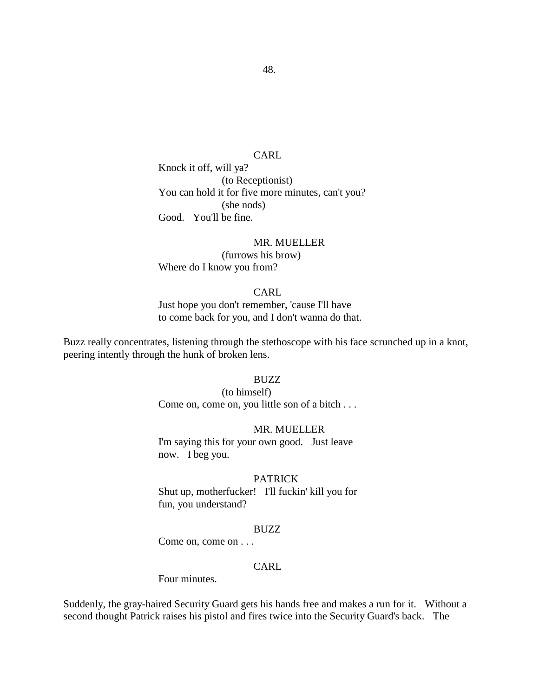Knock it off, will ya? (to Receptionist) You can hold it for five more minutes, can't you? (she nods) Good. You'll be fine.

# MR. MUELLER (furrows his brow) Where do I know you from?

# CARL

Just hope you don't remember, 'cause I'll have to come back for you, and I don't wanna do that.

Buzz really concentrates, listening through the stethoscope with his face scrunched up in a knot, peering intently through the hunk of broken lens.

### BUZZ

(to himself) Come on, come on, you little son of a bitch . . .

### MR. MUELLER

I'm saying this for your own good. Just leave now. I beg you.

### PATRICK

Shut up, motherfucker! I'll fuckin' kill you for fun, you understand?

# BUZZ

Come on, come on . . .

# CARL

Four minutes.

Suddenly, the gray-haired Security Guard gets his hands free and makes a run for it. Without a second thought Patrick raises his pistol and fires twice into the Security Guard's back. The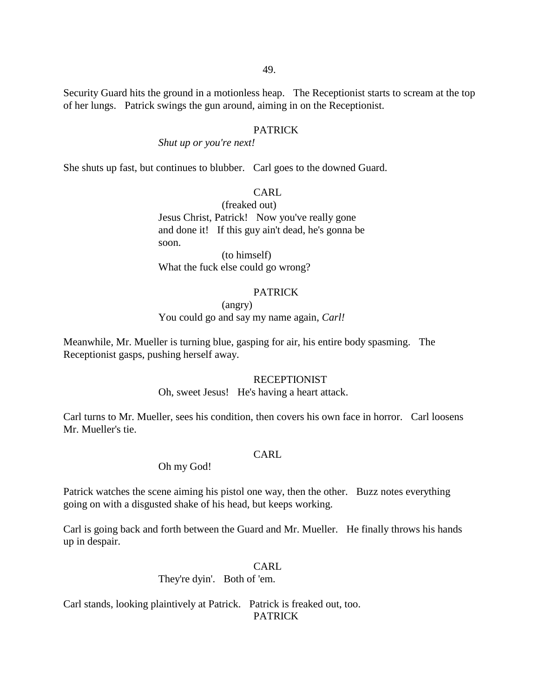Security Guard hits the ground in a motionless heap. The Receptionist starts to scream at the top of her lungs. Patrick swings the gun around, aiming in on the Receptionist.

# PATRICK

# *Shut up or you're next!*

She shuts up fast, but continues to blubber. Carl goes to the downed Guard.

### CARL

(freaked out) Jesus Christ, Patrick! Now you've really gone and done it! If this guy ain't dead, he's gonna be soon.

(to himself) What the fuck else could go wrong?

# PATRICK

# (angry) You could go and say my name again, *Carl!*

Meanwhile, Mr. Mueller is turning blue, gasping for air, his entire body spasming. The Receptionist gasps, pushing herself away.

#### RECEPTIONIST

Oh, sweet Jesus! He's having a heart attack.

Carl turns to Mr. Mueller, sees his condition, then covers his own face in horror. Carl loosens Mr. Mueller's tie.

### CARL

### Oh my God!

Patrick watches the scene aiming his pistol one way, then the other. Buzz notes everything going on with a disgusted shake of his head, but keeps working.

Carl is going back and forth between the Guard and Mr. Mueller. He finally throws his hands up in despair.

### CARL

### They're dyin'. Both of 'em.

Carl stands, looking plaintively at Patrick. Patrick is freaked out, too. PATRICK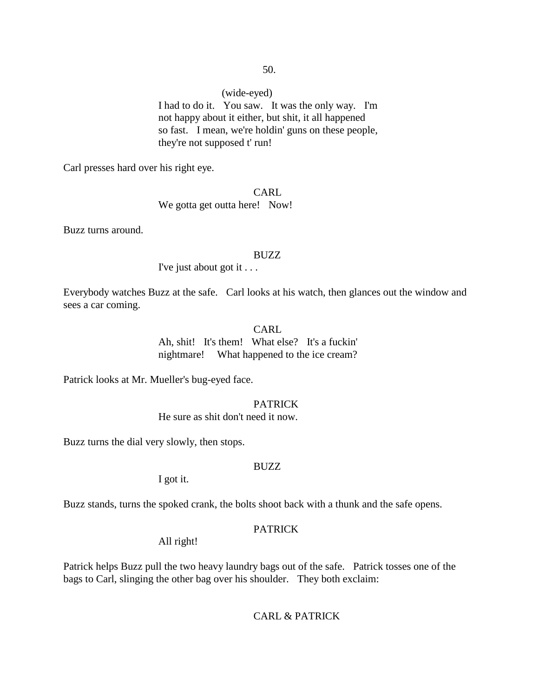# (wide-eyed)

I had to do it. You saw. It was the only way. I'm not happy about it either, but shit, it all happened so fast. I mean, we're holdin' guns on these people, they're not supposed t' run!

Carl presses hard over his right eye.

CARL We gotta get outta here! Now!

Buzz turns around.

#### BUZZ

I've just about got it . . .

Everybody watches Buzz at the safe. Carl looks at his watch, then glances out the window and sees a car coming.

# CARL

Ah, shit! It's them! What else? It's a fuckin' nightmare! What happened to the ice cream?

Patrick looks at Mr. Mueller's bug-eyed face.

### PATRICK

He sure as shit don't need it now.

Buzz turns the dial very slowly, then stops.

# BUZZ

I got it.

Buzz stands, turns the spoked crank, the bolts shoot back with a thunk and the safe opens.

# **PATRICK**

All right!

Patrick helps Buzz pull the two heavy laundry bags out of the safe. Patrick tosses one of the bags to Carl, slinging the other bag over his shoulder. They both exclaim:

# CARL & PATRICK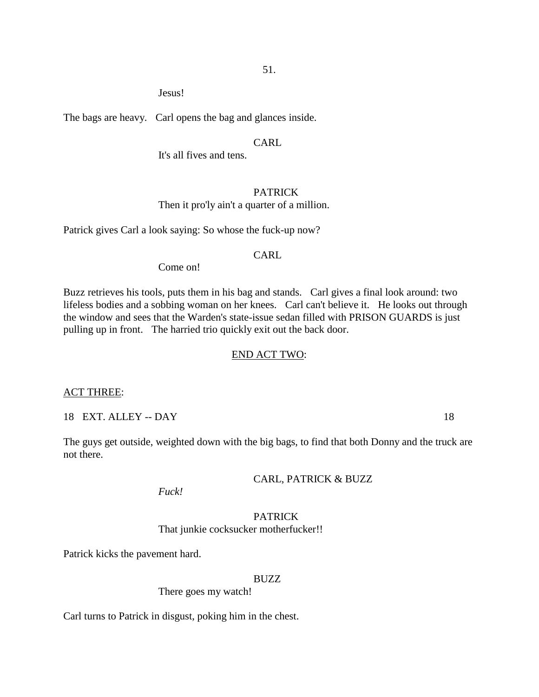Jesus!

The bags are heavy. Carl opens the bag and glances inside.

### CARL.

It's all fives and tens.

# PATRICK

Then it pro'ly ain't a quarter of a million.

Patrick gives Carl a look saying: So whose the fuck-up now?

# CARL

Come on!

Buzz retrieves his tools, puts them in his bag and stands. Carl gives a final look around: two lifeless bodies and a sobbing woman on her knees. Carl can't believe it. He looks out through the window and sees that the Warden's state-issue sedan filled with PRISON GUARDS is just pulling up in front. The harried trio quickly exit out the back door.

# END ACT TWO:

ACT THREE:

18 EXT. ALLEY -- DAY 18

The guys get outside, weighted down with the big bags, to find that both Donny and the truck are not there.

CARL, PATRICK & BUZZ

*Fuck!* 

# PATRICK That junkie cocksucker motherfucker!!

Patrick kicks the pavement hard.

# BUZZ

There goes my watch!

Carl turns to Patrick in disgust, poking him in the chest.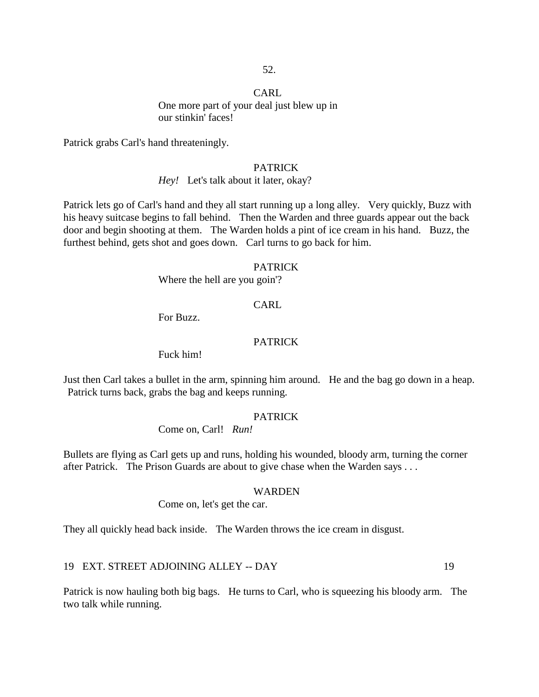# CARL One more part of your deal just blew up in our stinkin' faces!

Patrick grabs Carl's hand threateningly.

### PATRICK

# *Hey!* Let's talk about it later, okay?

Patrick lets go of Carl's hand and they all start running up a long alley. Very quickly, Buzz with his heavy suitcase begins to fall behind. Then the Warden and three guards appear out the back door and begin shooting at them. The Warden holds a pint of ice cream in his hand. Buzz, the furthest behind, gets shot and goes down. Carl turns to go back for him.

#### PATRICK

Where the hell are you goin'?

# CARL

For Buzz.

### PATRICK

Fuck him!

Just then Carl takes a bullet in the arm, spinning him around. He and the bag go down in a heap. Patrick turns back, grabs the bag and keeps running.

#### PATRICK

Come on, Carl! *Run!*

Bullets are flying as Carl gets up and runs, holding his wounded, bloody arm, turning the corner after Patrick. The Prison Guards are about to give chase when the Warden says . . .

#### WARDEN

Come on, let's get the car.

They all quickly head back inside. The Warden throws the ice cream in disgust.

# 19 EXT. STREET ADJOINING ALLEY -- DAY 19

Patrick is now hauling both big bags. He turns to Carl, who is squeezing his bloody arm. The two talk while running.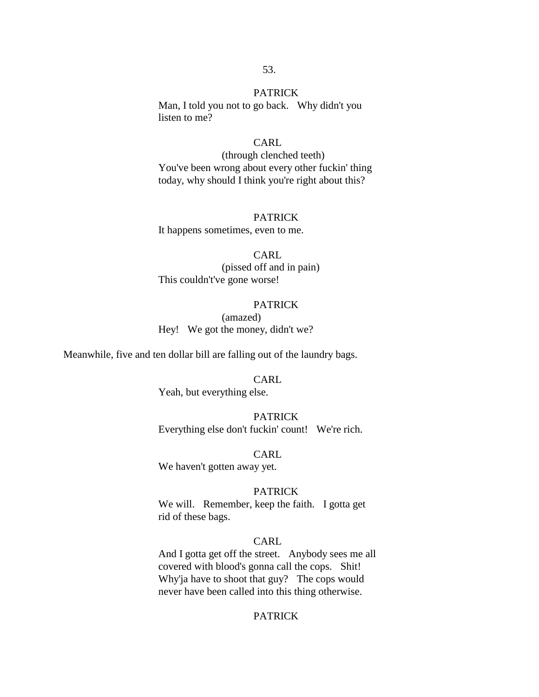#### PATRICK

Man, I told you not to go back. Why didn't you listen to me?

#### CARL.

(through clenched teeth) You've been wrong about every other fuckin' thing today, why should I think you're right about this?

### PATRICK

It happens sometimes, even to me.

### CARL

(pissed off and in pain) This couldn't've gone worse!

# PATRICK

(amazed) Hey! We got the money, didn't we?

Meanwhile, five and ten dollar bill are falling out of the laundry bags.

#### CARL.

Yeah, but everything else.

### PATRICK

Everything else don't fuckin' count! We're rich.

### CARL

We haven't gotten away yet.

### **PATRICK**

We will. Remember, keep the faith. I gotta get rid of these bags.

# CARL

And I gotta get off the street. Anybody sees me all covered with blood's gonna call the cops. Shit! Why'ja have to shoot that guy? The cops would never have been called into this thing otherwise.

# **PATRICK**

#### 53.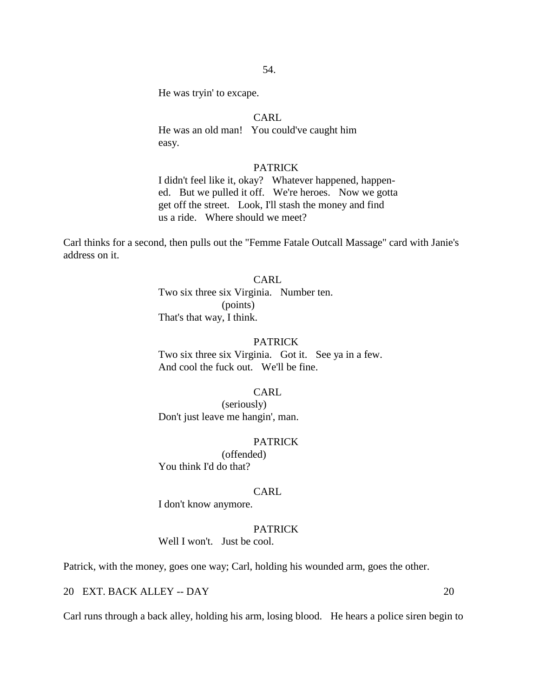He was tryin' to excape.

# CARL

He was an old man! You could've caught him easy.

### PATRICK

I didn't feel like it, okay? Whatever happened, happened. But we pulled it off. We're heroes. Now we gotta get off the street. Look, I'll stash the money and find us a ride. Where should we meet?

Carl thinks for a second, then pulls out the "Femme Fatale Outcall Massage" card with Janie's address on it.

# CARL

Two six three six Virginia. Number ten. (points) That's that way, I think.

### PATRICK

Two six three six Virginia. Got it. See ya in a few. And cool the fuck out. We'll be fine.

# CARL

(seriously) Don't just leave me hangin', man.

#### PATRICK

(offended) You think I'd do that?

#### CARL

I don't know anymore.

# **PATRICK**

Well I won't. Just be cool.

Patrick, with the money, goes one way; Carl, holding his wounded arm, goes the other.

# 20 EXT. BACK ALLEY -- DAY 20

Carl runs through a back alley, holding his arm, losing blood. He hears a police siren begin to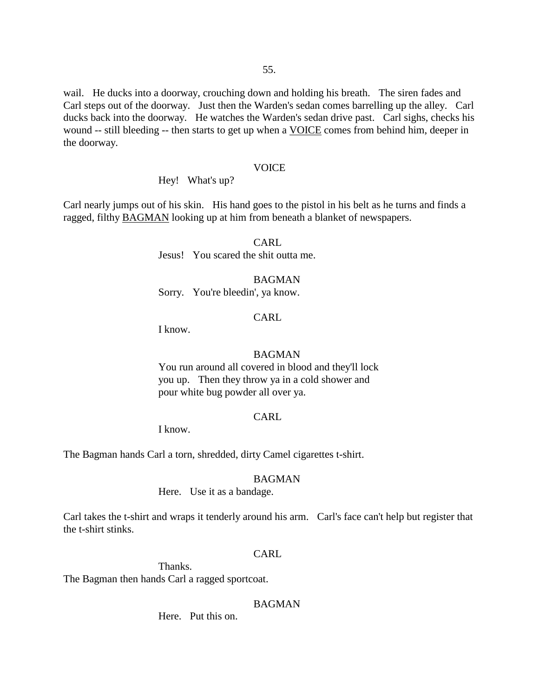wail. He ducks into a doorway, crouching down and holding his breath. The siren fades and Carl steps out of the doorway. Just then the Warden's sedan comes barrelling up the alley. Carl ducks back into the doorway. He watches the Warden's sedan drive past. Carl sighs, checks his wound -- still bleeding -- then starts to get up when a VOICE comes from behind him, deeper in the doorway.

#### VOICE

Hey! What's up?

Carl nearly jumps out of his skin. His hand goes to the pistol in his belt as he turns and finds a ragged, filthy BAGMAN looking up at him from beneath a blanket of newspapers.

> CARL Jesus! You scared the shit outta me.

BAGMAN Sorry. You're bleedin', ya know.

# CARL

I know.

#### BAGMAN

You run around all covered in blood and they'll lock you up. Then they throw ya in a cold shower and pour white bug powder all over ya.

### CARL

I know.

The Bagman hands Carl a torn, shredded, dirty Camel cigarettes t-shirt.

# BAGMAN

Here. Use it as a bandage.

Carl takes the t-shirt and wraps it tenderly around his arm. Carl's face can't help but register that the t-shirt stinks.

### CARL

Thanks. The Bagman then hands Carl a ragged sportcoat.

# BAGMAN

Here. Put this on.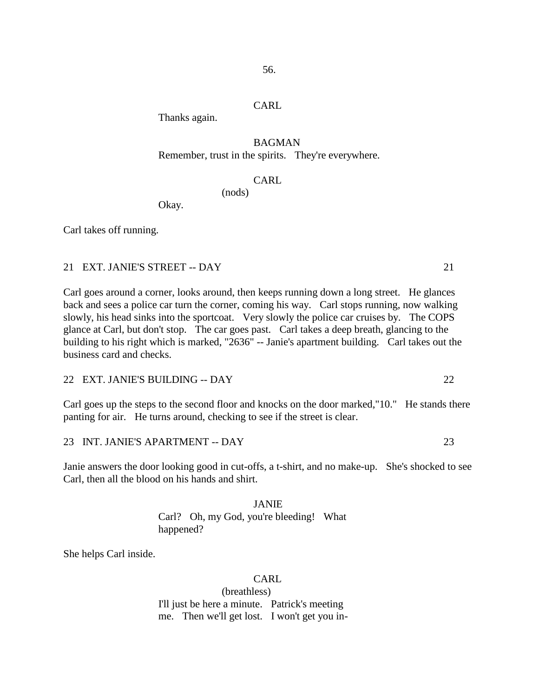Thanks again.

# BAGMAN

Remember, trust in the spirits. They're everywhere.

# CARL

(nods)

Okay.

Carl takes off running.

### 21 EXT. JANIE'S STREET -- DAY 21

Carl goes around a corner, looks around, then keeps running down a long street. He glances back and sees a police car turn the corner, coming his way. Carl stops running, now walking slowly, his head sinks into the sportcoat. Very slowly the police car cruises by. The COPS glance at Carl, but don't stop. The car goes past. Carl takes a deep breath, glancing to the building to his right which is marked, "2636" -- Janie's apartment building. Carl takes out the business card and checks.

22 EXT. JANIE'S BUILDING -- DAY 22

Carl goes up the steps to the second floor and knocks on the door marked,"10." He stands there panting for air. He turns around, checking to see if the street is clear.

23 INT. JANIE'S APARTMENT -- DAY 23

Janie answers the door looking good in cut-offs, a t-shirt, and no make-up. She's shocked to see Carl, then all the blood on his hands and shirt.

> JANIE Carl? Oh, my God, you're bleeding! What happened?

She helps Carl inside.

CARL.

(breathless) I'll just be here a minute. Patrick's meeting me. Then we'll get lost. I won't get you in-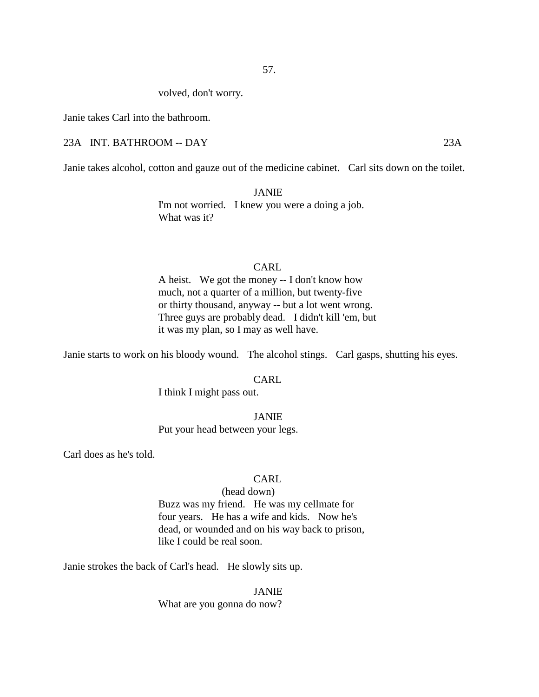volved, don't worry.

Janie takes Carl into the bathroom.

### 23A INT. BATHROOM -- DAY 23A

Janie takes alcohol, cotton and gauze out of the medicine cabinet. Carl sits down on the toilet.

JANIE I'm not worried. I knew you were a doing a job. What was it?

# CARL

A heist. We got the money -- I don't know how much, not a quarter of a million, but twenty-five or thirty thousand, anyway -- but a lot went wrong. Three guys are probably dead. I didn't kill 'em, but it was my plan, so I may as well have.

Janie starts to work on his bloody wound. The alcohol stings. Carl gasps, shutting his eyes.

### CARL.

I think I might pass out.

JANIE Put your head between your legs.

Carl does as he's told.

# CARL.

### (head down)

Buzz was my friend. He was my cellmate for four years. He has a wife and kids. Now he's dead, or wounded and on his way back to prison, like I could be real soon.

Janie strokes the back of Carl's head. He slowly sits up.

JANIE What are you gonna do now?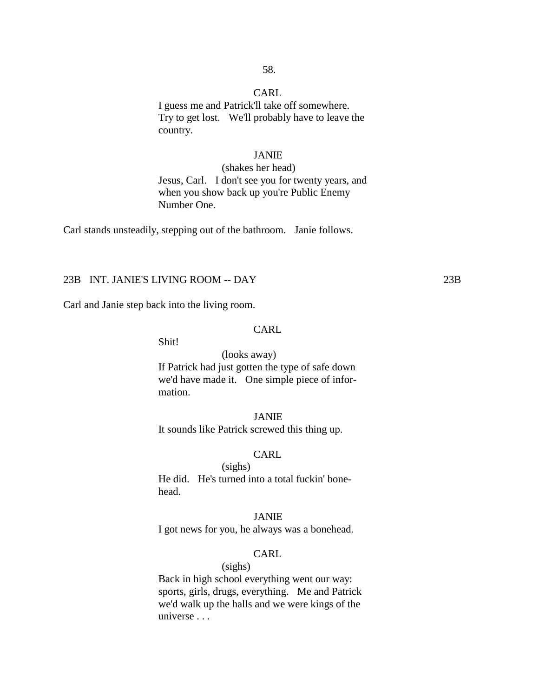58.

I guess me and Patrick'll take off somewhere. Try to get lost. We'll probably have to leave the country.

# JANIE

(shakes her head) Jesus, Carl. I don't see you for twenty years, and when you show back up you're Public Enemy Number One.

Carl stands unsteadily, stepping out of the bathroom. Janie follows.

# 23B INT. JANIE'S LIVING ROOM -- DAY 23B

Carl and Janie step back into the living room.

### CARL

Shit!

#### (looks away)

If Patrick had just gotten the type of safe down we'd have made it. One simple piece of information.

# JANIE

It sounds like Patrick screwed this thing up.

### CARL

(sighs) He did. He's turned into a total fuckin' bonehead.

#### JANIE

I got news for you, he always was a bonehead.

# CARL

(sighs) Back in high school everything went our way: sports, girls, drugs, everything. Me and Patrick we'd walk up the halls and we were kings of the universe . . .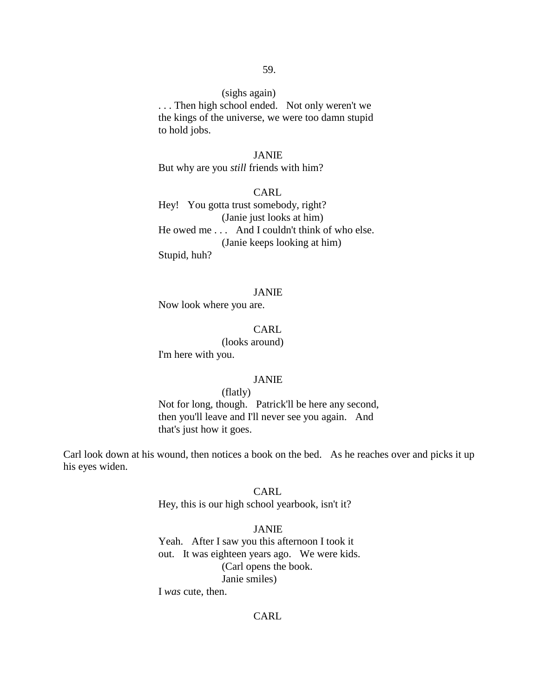# (sighs again)

. . . Then high school ended. Not only weren't we the kings of the universe, we were too damn stupid to hold jobs.

# JANIE

But why are you *still* friends with him?

CARL Hey! You gotta trust somebody, right? (Janie just looks at him) He owed me . . . And I couldn't think of who else. (Janie keeps looking at him) Stupid, huh?

### JANIE

Now look where you are.

#### CARL

(looks around) I'm here with you.

#### JANIE

(flatly) Not for long, though. Patrick'll be here any second, then you'll leave and I'll never see you again. And that's just how it goes.

Carl look down at his wound, then notices a book on the bed. As he reaches over and picks it up his eyes widen.

#### CARL

Hey, this is our high school yearbook, isn't it?

# JANIE

Yeah. After I saw you this afternoon I took it out. It was eighteen years ago. We were kids. (Carl opens the book. Janie smiles)

I *was* cute, then.

# CARL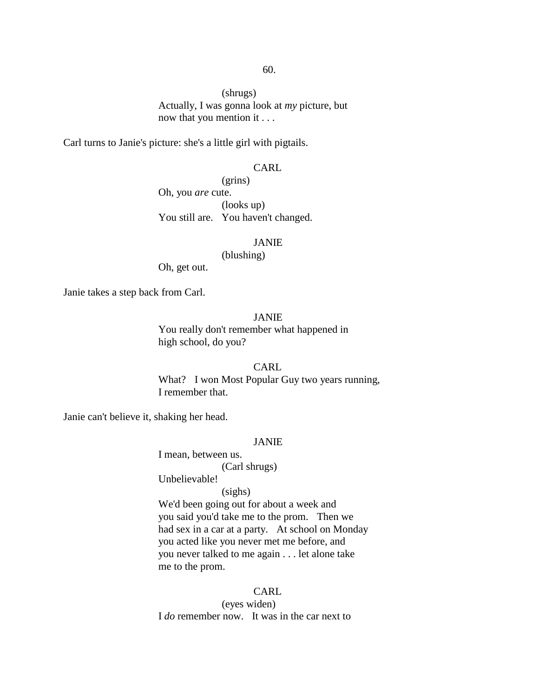(shrugs) Actually, I was gonna look at *my* picture, but now that you mention it . . .

Carl turns to Janie's picture: she's a little girl with pigtails.

### CARL

(grins) Oh, you *are* cute. (looks up) You still are. You haven't changed.

### JANIE

(blushing)

Oh, get out.

Janie takes a step back from Carl.

### JANIE

You really don't remember what happened in high school, do you?

### CARL

What? I won Most Popular Guy two years running, I remember that.

Janie can't believe it, shaking her head.

### JANIE

I mean, between us. (Carl shrugs)

Unbelievable!

### (sighs)

We'd been going out for about a week and you said you'd take me to the prom. Then we had sex in a car at a party. At school on Monday you acted like you never met me before, and you never talked to me again . . . let alone take me to the prom.

### **CARL**

(eyes widen) I *do* remember now. It was in the car next to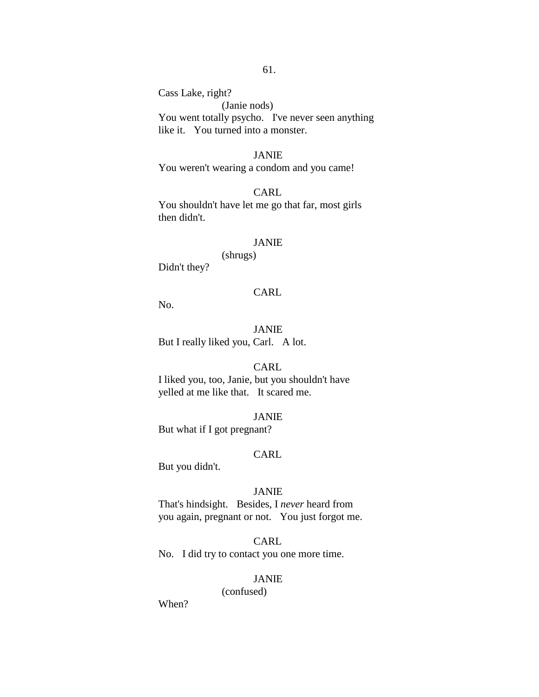Cass Lake, right?

(Janie nods) You went totally psycho. I've never seen anything like it. You turned into a monster.

# JANIE

You weren't wearing a condom and you came!

# CARL

You shouldn't have let me go that far, most girls then didn't.

### JANIE

(shrugs) Didn't they?

#### CARL

No.

JANIE But I really liked you, Carl. A lot.

# CARL

I liked you, too, Janie, but you shouldn't have yelled at me like that. It scared me.

#### JANIE

But what if I got pregnant?

### CARL

But you didn't.

#### JANIE

That's hindsight. Besides, I *never* heard from you again, pregnant or not. You just forgot me.

# CARL No. I did try to contact you one more time.

# JANIE

(confused)

When?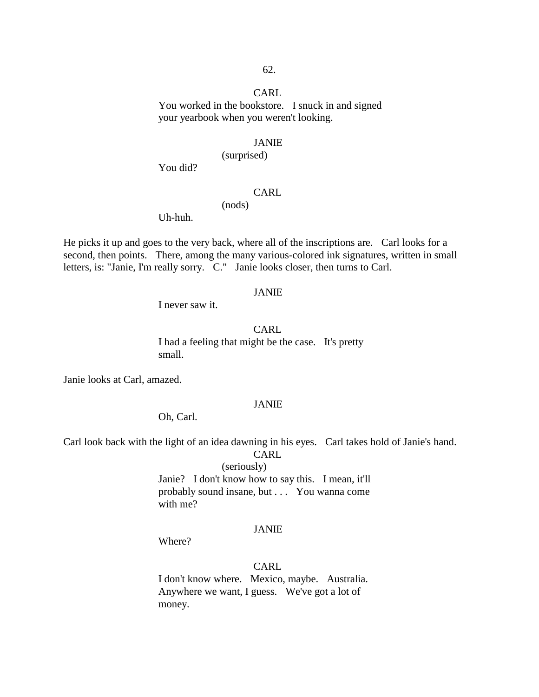You worked in the bookstore. I snuck in and signed your yearbook when you weren't looking.

#### JANIE

(surprised)

You did?

### CARL

(nods)

Uh-huh.

He picks it up and goes to the very back, where all of the inscriptions are. Carl looks for a second, then points. There, among the many various-colored ink signatures, written in small letters, is: "Janie, I'm really sorry. C." Janie looks closer, then turns to Carl.

#### JANIE

I never saw it.

CARL

I had a feeling that might be the case. It's pretty small.

Janie looks at Carl, amazed.

#### JANIE

Oh, Carl.

Carl look back with the light of an idea dawning in his eyes. Carl takes hold of Janie's hand.

CARL

(seriously)

Janie? I don't know how to say this. I mean, it'll probably sound insane, but . . . You wanna come with me?

# JANIE

Where?

# CARL

I don't know where. Mexico, maybe. Australia. Anywhere we want, I guess. We've got a lot of money.

#### 62.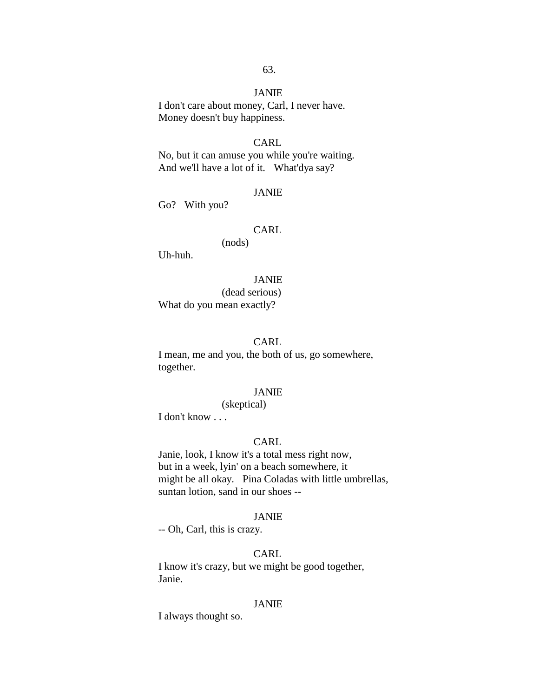# JANIE

I don't care about money, Carl, I never have. Money doesn't buy happiness.

#### CARL

No, but it can amuse you while you're waiting. And we'll have a lot of it. What'dya say?

#### JANIE

Go? With you?

# CARL

(nods)

Uh-huh.

#### JANIE

(dead serious) What do you mean exactly?

#### CARL

I mean, me and you, the both of us, go somewhere, together.

# JANIE

(skeptical)

I don't know . . .

# CARL

Janie, look, I know it's a total mess right now, but in a week, lyin' on a beach somewhere, it might be all okay. Pina Coladas with little umbrellas, suntan lotion, sand in our shoes --

#### JANIE

-- Oh, Carl, this is crazy.

# CARL

I know it's crazy, but we might be good together, Janie.

#### JANIE

I always thought so.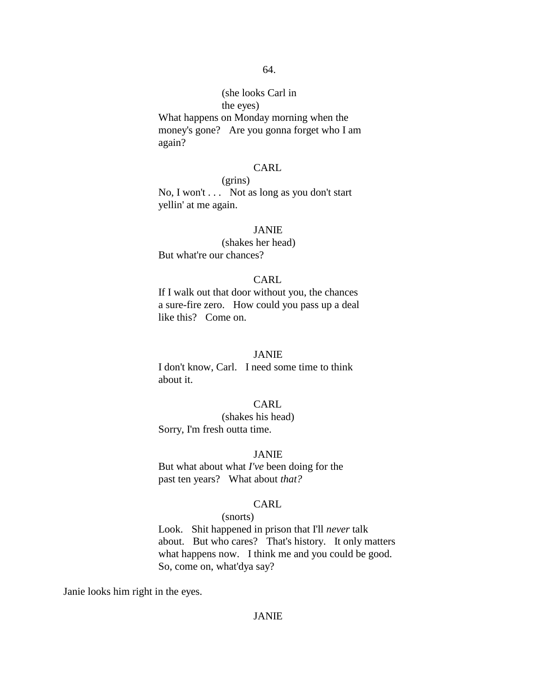# (she looks Carl in the eyes)

What happens on Monday morning when the money's gone? Are you gonna forget who I am again?

### CARL

# (grins)

No, I won't . . . Not as long as you don't start yellin' at me again.

#### JANIE

(shakes her head) But what're our chances?

### CARL

If I walk out that door without you, the chances a sure-fire zero. How could you pass up a deal like this? Come on.

# JANIE

I don't know, Carl. I need some time to think about it.

### CARL

(shakes his head) Sorry, I'm fresh outta time.

#### JANIE

But what about what *I've* been doing for the past ten years? What about *that?*

# CARL

### (snorts)

Look. Shit happened in prison that I'll *never* talk about. But who cares? That's history. It only matters what happens now. I think me and you could be good. So, come on, what'dya say?

Janie looks him right in the eyes.

# JANIE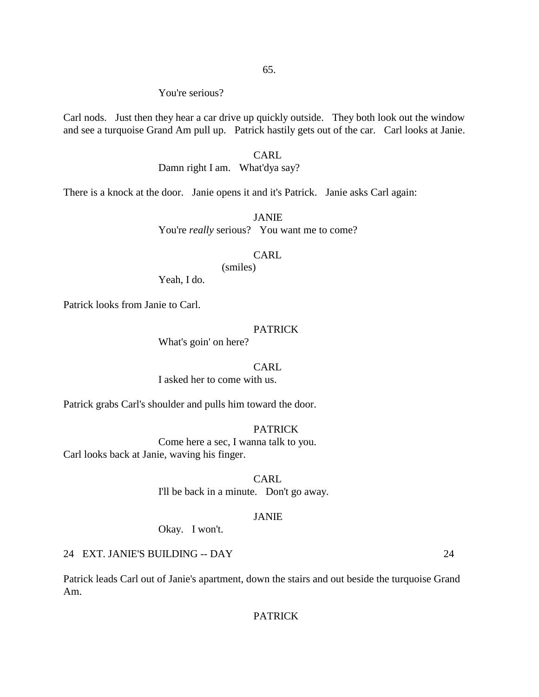# You're serious?

Carl nods. Just then they hear a car drive up quickly outside. They both look out the window and see a turquoise Grand Am pull up. Patrick hastily gets out of the car. Carl looks at Janie.

# CARL

Damn right I am. What'dya say?

There is a knock at the door. Janie opens it and it's Patrick. Janie asks Carl again:

JANIE You're *really* serious? You want me to come?

# CARL

(smiles)

Yeah, I do.

Patrick looks from Janie to Carl.

#### PATRICK

What's goin' on here?

#### CARL

I asked her to come with us.

Patrick grabs Carl's shoulder and pulls him toward the door.

# PATRICK

Come here a sec, I wanna talk to you. Carl looks back at Janie, waving his finger.

> CARL I'll be back in a minute. Don't go away.

### JANIE

Okay. I won't.

# 24 EXT. JANIE'S BUILDING -- DAY 24

Patrick leads Carl out of Janie's apartment, down the stairs and out beside the turquoise Grand Am.

# PATRICK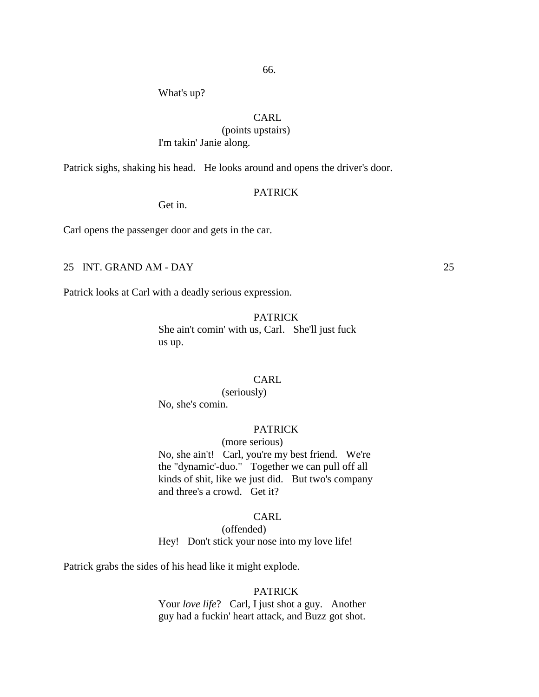What's up?

# CARL

(points upstairs)

I'm takin' Janie along.

Patrick sighs, shaking his head. He looks around and opens the driver's door.

#### PATRICK

Get in.

Carl opens the passenger door and gets in the car.

# 25 INT. GRAND AM - DAY 25

Patrick looks at Carl with a deadly serious expression.

#### PATRICK

She ain't comin' with us, Carl. She'll just fuck us up.

# CARL.

(seriously) No, she's comin.

# **PATRICK**

# (more serious)

No, she ain't! Carl, you're my best friend. We're the "dynamic'-duo." Together we can pull off all kinds of shit, like we just did. But two's company and three's a crowd. Get it?

#### CARL

(offended) Hey! Don't stick your nose into my love life!

Patrick grabs the sides of his head like it might explode.

### PATRICK

Your *love life*? Carl, I just shot a guy. Another guy had a fuckin' heart attack, and Buzz got shot.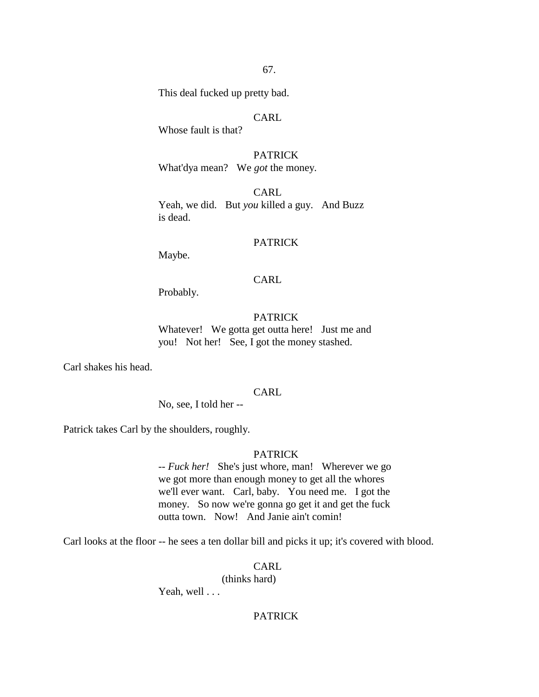This deal fucked up pretty bad.

# CARL

Whose fault is that?

PATRICK What'dya mean? We *got* the money.

CARL Yeah, we did. But *you* killed a guy. And Buzz is dead.

# PATRICK

Maybe.

### CARL

Probably.

PATRICK Whatever! We gotta get outta here! Just me and you! Not her! See, I got the money stashed.

Carl shakes his head.

# CARL

No, see, I told her --

Patrick takes Carl by the shoulders, roughly.

# PATRICK

-- *Fuck her!* She's just whore, man! Wherever we go we got more than enough money to get all the whores we'll ever want. Carl, baby. You need me. I got the money. So now we're gonna go get it and get the fuck outta town. Now! And Janie ain't comin!

Carl looks at the floor -- he sees a ten dollar bill and picks it up; it's covered with blood.

# CARL

(thinks hard)

Yeah, well . . .

# PATRICK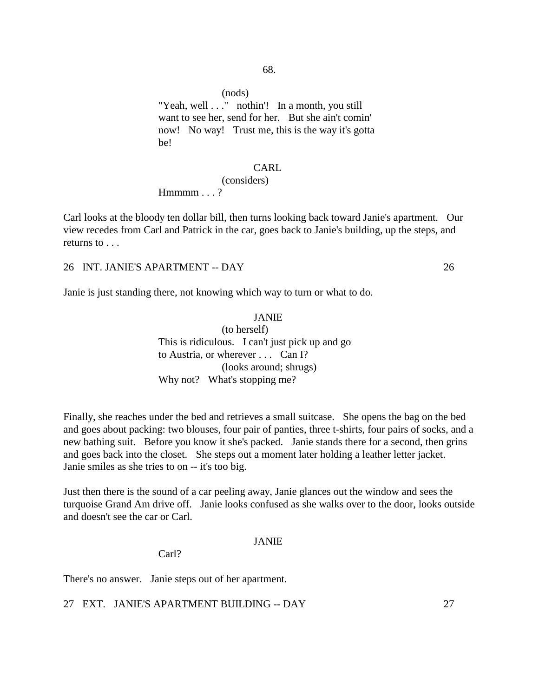(nods)

"Yeah, well . . ." nothin"! In a month, you still want to see her, send for her. But she ain't comin' now! No way! Trust me, this is the way it's gotta be!

### CARL

### (considers)

 $Hmmm...?$ 

Carl looks at the bloody ten dollar bill, then turns looking back toward Janie's apartment. Our view recedes from Carl and Patrick in the car, goes back to Janie's building, up the steps, and returns to . . .

26 INT. JANIE'S APARTMENT -- DAY 26

Janie is just standing there, not knowing which way to turn or what to do.

JANIE (to herself) This is ridiculous. I can't just pick up and go to Austria, or wherever . . . Can I? (looks around; shrugs) Why not? What's stopping me?

Finally, she reaches under the bed and retrieves a small suitcase. She opens the bag on the bed and goes about packing: two blouses, four pair of panties, three t-shirts, four pairs of socks, and a new bathing suit. Before you know it she's packed. Janie stands there for a second, then grins and goes back into the closet. She steps out a moment later holding a leather letter jacket. Janie smiles as she tries to on -- it's too big.

Just then there is the sound of a car peeling away, Janie glances out the window and sees the turquoise Grand Am drive off. Janie looks confused as she walks over to the door, looks outside and doesn't see the car or Carl.

#### JANIE

Carl?

There's no answer. Janie steps out of her apartment.

27 EXT. JANIE'S APARTMENT BUILDING -- DAY 27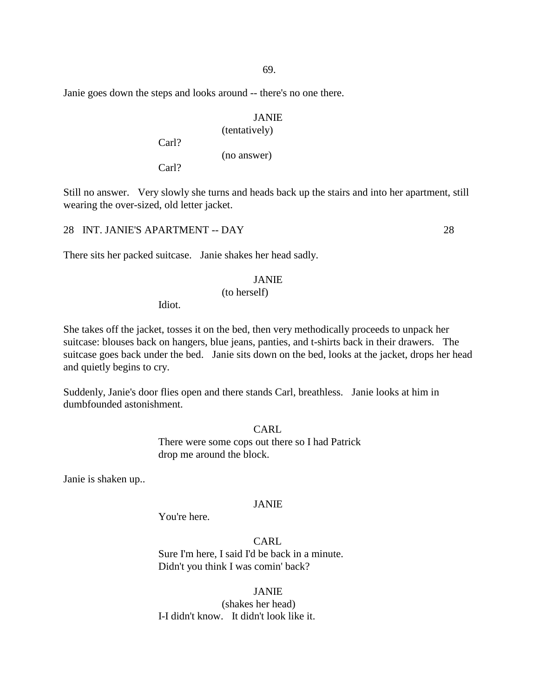Janie goes down the steps and looks around -- there's no one there.

### JANIE

# (tentatively) (no answer)

Carl?

Carl?

Still no answer. Very slowly she turns and heads back up the stairs and into her apartment, still wearing the over-sized, old letter jacket.

28 INT. JANIE'S APARTMENT -- DAY 28

There sits her packed suitcase. Janie shakes her head sadly.

### JANIE

### (to herself)

Idiot.

She takes off the jacket, tosses it on the bed, then very methodically proceeds to unpack her suitcase: blouses back on hangers, blue jeans, panties, and t-shirts back in their drawers. The suitcase goes back under the bed. Janie sits down on the bed, looks at the jacket, drops her head and quietly begins to cry.

Suddenly, Janie's door flies open and there stands Carl, breathless. Janie looks at him in dumbfounded astonishment.

### CARL

There were some cops out there so I had Patrick drop me around the block.

Janie is shaken up..

### JANIE

You're here.

CARL Sure I'm here, I said I'd be back in a minute. Didn't you think I was comin' back?

JANIE (shakes her head) I-I didn't know. It didn't look like it.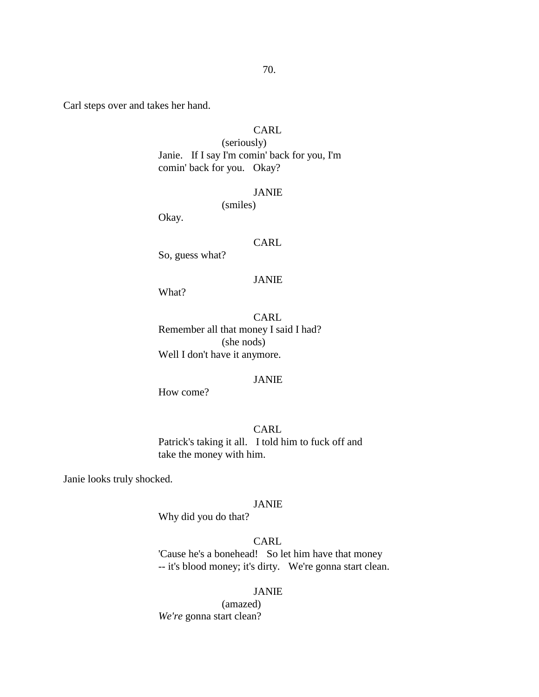Carl steps over and takes her hand.

# CARL

(seriously) Janie. If I say I'm comin' back for you, I'm comin' back for you. Okay?

#### JANIE

(smiles)

Okay.

### CARL

So, guess what?

#### JANIE

What?

CARL Remember all that money I said I had? (she nods) Well I don't have it anymore.

# JANIE

How come?

# CARL

Patrick's taking it all. I told him to fuck off and take the money with him.

Janie looks truly shocked.

### JANIE

Why did you do that?

# CARL

'Cause he's a bonehead! So let him have that money -- it's blood money; it's dirty. We're gonna start clean.

### JANIE

(amazed) *We're* gonna start clean?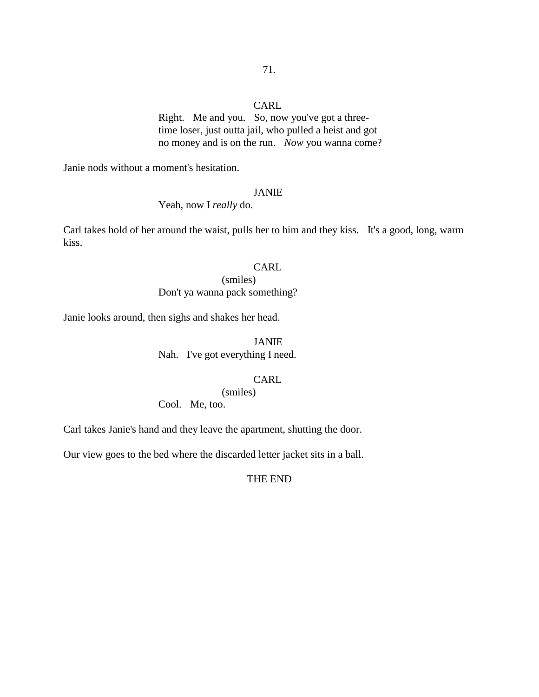Right. Me and you. So, now you've got a threetime loser, just outta jail, who pulled a heist and got no money and is on the run. *Now* you wanna come?

Janie nods without a moment's hesitation.

#### JANIE

Yeah, now I *really* do.

Carl takes hold of her around the waist, pulls her to him and they kiss. It's a good, long, warm kiss.

# **CARL**

(smiles) Don't ya wanna pack something?

Janie looks around, then sighs and shakes her head.

### JANIE

Nah. I've got everything I need.

# CARL

(smiles)

Cool. Me, too.

Carl takes Janie's hand and they leave the apartment, shutting the door.

Our view goes to the bed where the discarded letter jacket sits in a ball.

# THE END